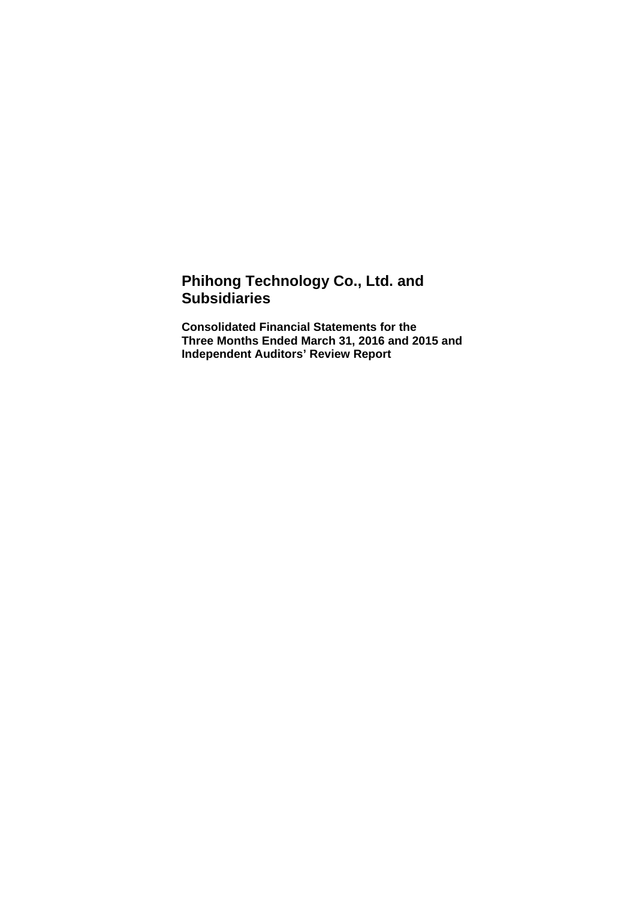## **Phihong Technology Co., Ltd. and Subsidiaries**

**Consolidated Financial Statements for the Three Months Ended March 31, 2016 and 2015 and Independent Auditors' Review Report**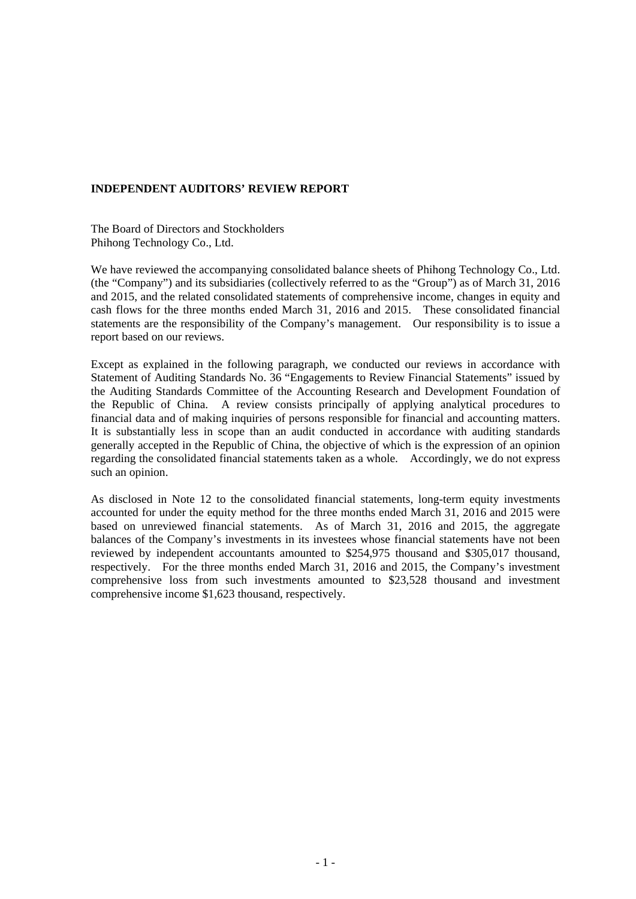## **INDEPENDENT AUDITORS' REVIEW REPORT**

The Board of Directors and Stockholders Phihong Technology Co., Ltd.

We have reviewed the accompanying consolidated balance sheets of Phihong Technology Co., Ltd. (the "Company") and its subsidiaries (collectively referred to as the "Group") as of March 31, 2016 and 2015, and the related consolidated statements of comprehensive income, changes in equity and cash flows for the three months ended March 31, 2016 and 2015. These consolidated financial statements are the responsibility of the Company's management. Our responsibility is to issue a report based on our reviews.

Except as explained in the following paragraph, we conducted our reviews in accordance with Statement of Auditing Standards No. 36 "Engagements to Review Financial Statements" issued by the Auditing Standards Committee of the Accounting Research and Development Foundation of the Republic of China. A review consists principally of applying analytical procedures to financial data and of making inquiries of persons responsible for financial and accounting matters. It is substantially less in scope than an audit conducted in accordance with auditing standards generally accepted in the Republic of China, the objective of which is the expression of an opinion regarding the consolidated financial statements taken as a whole. Accordingly, we do not express such an opinion.

As disclosed in Note 12 to the consolidated financial statements, long-term equity investments accounted for under the equity method for the three months ended March 31, 2016 and 2015 were based on unreviewed financial statements. As of March 31, 2016 and 2015, the aggregate balances of the Company's investments in its investees whose financial statements have not been reviewed by independent accountants amounted to \$254,975 thousand and \$305,017 thousand, respectively. For the three months ended March 31, 2016 and 2015, the Company's investment comprehensive loss from such investments amounted to \$23,528 thousand and investment comprehensive income \$1,623 thousand, respectively.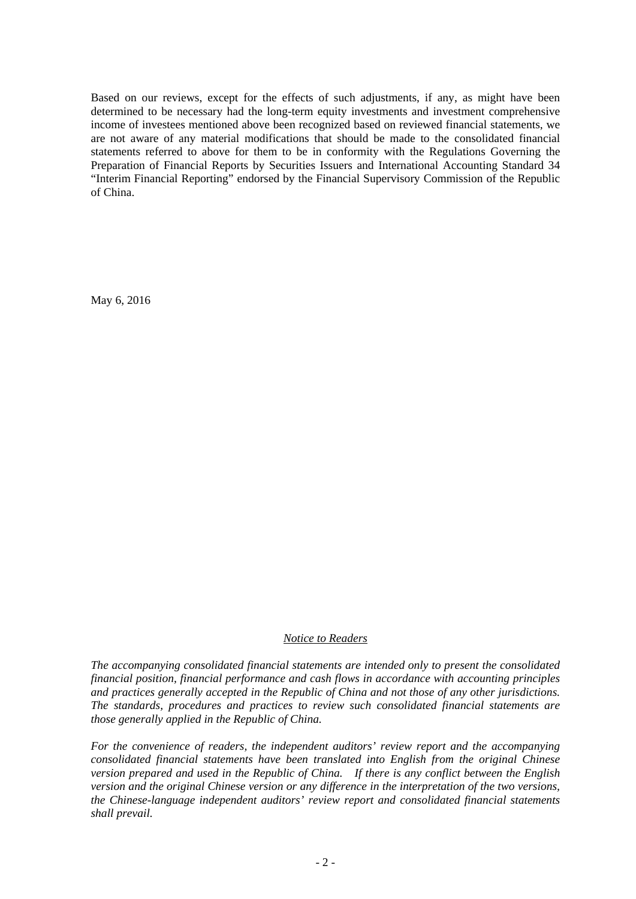Based on our reviews, except for the effects of such adjustments, if any, as might have been determined to be necessary had the long-term equity investments and investment comprehensive income of investees mentioned above been recognized based on reviewed financial statements, we are not aware of any material modifications that should be made to the consolidated financial statements referred to above for them to be in conformity with the Regulations Governing the Preparation of Financial Reports by Securities Issuers and International Accounting Standard 34 "Interim Financial Reporting" endorsed by the Financial Supervisory Commission of the Republic of China.

May 6, 2016

## *Notice to Readers*

*The accompanying consolidated financial statements are intended only to present the consolidated financial position, financial performance and cash flows in accordance with accounting principles and practices generally accepted in the Republic of China and not those of any other jurisdictions. The standards, procedures and practices to review such consolidated financial statements are those generally applied in the Republic of China.* 

*For the convenience of readers, the independent auditors' review report and the accompanying consolidated financial statements have been translated into English from the original Chinese version prepared and used in the Republic of China. If there is any conflict between the English version and the original Chinese version or any difference in the interpretation of the two versions, the Chinese-language independent auditors' review report and consolidated financial statements shall prevail.*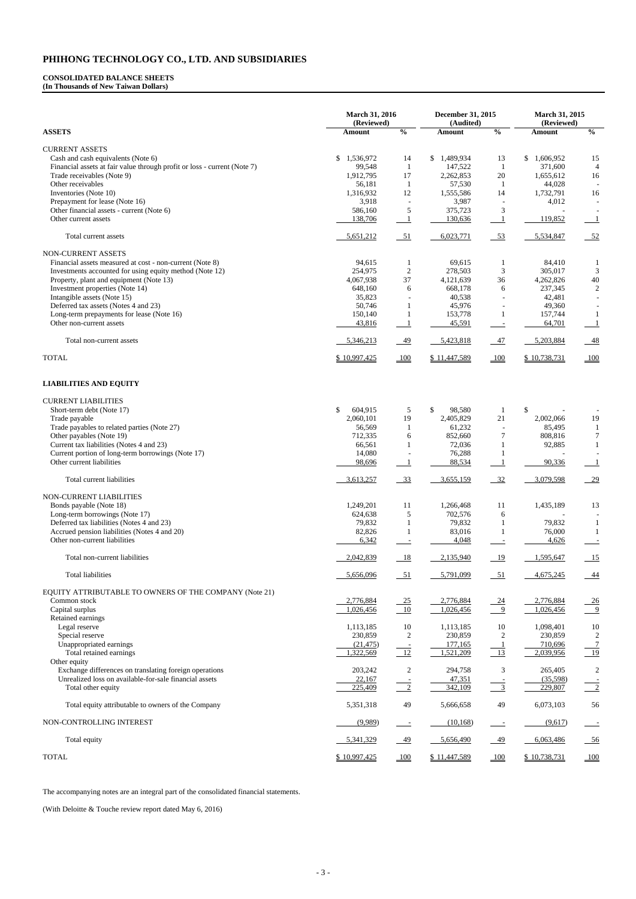**March 31, 2016 (Reviewed) December 31, 2015 (Audited) March 31, 2015 (Reviewed) ASSETS Amount % Amount % Amount %**  CURRENT ASSETS Cash and cash equivalents (Note 6)  $$ 1,536,972$   $14$   $$ 1,489,934$   $13$   $$ 1,606,952$   $15$ Financial assets at fair value through profit or loss - current (Note 7) 99,548 1 147,522 1 371,600 4 Trade receivables (Note 9)<br>
Other receivables (Note 9)<br>  $1,912,795$ <br>  $56,181$ <br>  $1$ <br>  $57,530$ <br>  $1$ <br>  $57,530$ <br>  $1$ <br>  $44,028$ <br>  $-$ Other receivables 2008 1 44,028 - 56,181 1 57,530 1 44,028 - 56,181 1 57,530 1 44,028 Inventories (Note 10) 1,316,932 12 1,555,586 14 1,732,791 16 Prepayment for lease (Note 16) 3,918 - 3,987 - 4,012 -Other financial assets - current (Note 6) 586,160 5 375,723 3 Other current assets 138,706 138,706 1 130,636 1 119,852 1 Total current assets 5,651,212 5,651,212 51 6,023,771 53 5,534,847 52 NON-CURRENT ASSETS Financial assets measured at cost - non-current (Note 8) 84,615 94,615 1 69,615 1 84,410 1 Investments accounted for using equity method (Note 12) 254,975 2 278,503 3 305,017 3 Property, plant and equipment (Note 13)  $4,067,938$   $37$   $4,121,639$   $36$   $4,262,826$   $40$ Investment properties (Note 14) <br>
Intangible assets (Note 15) <br>
Intangible assets (Note 15) <br>  $35.823$   $40.538$   $42.481$   $-$ Intangible assets (Note 15) 35,823 - 40,538 - 42,481 -Deferred tax assets (Notes 4 and 23) 50,746 1 45,976 - 49,360 -Long-term prepayments for lease (Note 16) 150,140 1 153,778 1 157,744 1 Other non-current assets 43,816 1 45,591 - 64,701 1 Total non-current assets **5,346,213** 49 5,423,818 47 5,203,884 48 TOTAL 6 10,997,425 100 \$ 11,447,589 100 \$ 10,738,731 100

#### **CONSOLIDATED BALANCE SHEETS (In Thousands of New Taiwan Dollars)**

#### **LIABILITIES AND EQUITY**

| <b>CURRENT LIABILITIES</b>                             |                         |                  |              |                          |              |                           |
|--------------------------------------------------------|-------------------------|------------------|--------------|--------------------------|--------------|---------------------------|
| Short-term debt (Note 17)                              | $\mathbb{S}$<br>604,915 | 5                | \$<br>98,580 | $\mathbf{1}$             | \$           |                           |
| Trade payable                                          | 2,060,101               | 19               | 2,405,829    | 21                       | 2,002,066    | 19                        |
| Trade payables to related parties (Note 27)            | 56,569                  | 1                | 61,232       | $\overline{\phantom{a}}$ | 85,495       | $\mathbf{1}$              |
| Other payables (Note 19)                               | 712,335                 | 6                | 852,660      | $\tau$                   | 808,816      | $\tau$                    |
| Current tax liabilities (Notes 4 and 23)               | 66,561                  |                  | 72,036       |                          | 92,885       | 1                         |
| Current portion of long-term borrowings (Note 17)      | 14,080                  |                  | 76,288       |                          |              |                           |
| Other current liabilities                              | 98,696                  | $\mathbf{1}$     | 88,534       |                          | 90,336       | $\perp$                   |
| Total current liabilities                              | 3,613,257               | $\frac{33}{2}$   | 3,655,159    | $\frac{32}{2}$           | 3,079,598    | $-29$                     |
| NON-CURRENT LIABILITIES                                |                         |                  |              |                          |              |                           |
| Bonds payable (Note 18)                                | 1,249,201               | 11               | 1,266,468    | 11                       | 1,435,189    | 13                        |
| Long-term borrowings (Note 17)                         | 624,638                 | 5                | 702,576      | 6                        |              |                           |
| Deferred tax liabilities (Notes 4 and 23)              | 79,832                  |                  | 79,832       | $\mathbf{1}$             | 79,832       | $\mathbf{1}$              |
| Accrued pension liabilities (Notes 4 and 20)           | 82,826                  |                  | 83,016       | $\mathbf{1}$             | 76,000       | -1                        |
| Other non-current liabilities                          | 6,342                   | $\sim$           | 4,048        | $\overline{\phantom{a}}$ | 4,626        | $\equiv$                  |
| Total non-current liabilities                          | 2,042,839               | 18               | 2,135,940    | 19                       | 1,595,647    | 15                        |
| <b>Total liabilities</b>                               | 5,656,096               | $-51$            | 5,791,099    | $-51$                    | 4,675,245    | $-44$                     |
| EQUITY ATTRIBUTABLE TO OWNERS OF THE COMPANY (Note 21) |                         |                  |              |                          |              |                           |
| Common stock                                           | 2,776,884               | $-25$            | 2,776,884    | $-24$                    | 2,776,884    | $-26$                     |
| Capital surplus                                        | 1,026,456               | $-10$            | 1,026,456    | $\frac{9}{2}$            | 1,026,456    | $\frac{9}{2}$             |
| Retained earnings                                      |                         |                  |              |                          |              |                           |
| Legal reserve                                          | 1,113,185               | 10               | 1,113,185    | 10                       | 1,098,401    | 10                        |
| Special reserve                                        | 230,859                 | $\boldsymbol{2}$ | 230,859      | $\mathbf{2}$             | 230,859      | $\overline{2}$            |
| Unappropriated earnings                                | (21, 475)               | $\sim$           | 177,165      | $\mathbf{1}$             | 710,696      | $\frac{7}{2}$             |
| Total retained earnings                                | 1,322,569               | $-12$            | 1,521,209    | 13                       | 2,039,956    | 19                        |
| Other equity                                           |                         |                  |              |                          |              |                           |
| Exchange differences on translating foreign operations | 203,242                 | $\boldsymbol{2}$ | 294,758      | $\mathfrak{Z}$           | 265,405      | $\overline{2}$            |
| Unrealized loss on available-for-sale financial assets | 22,167                  |                  | 47,351       |                          | (35,598)     |                           |
| Total other equity                                     | 225,409                 | $\frac{2}{2}$    | 342,109      | $\frac{3}{2}$            | 229,807      | $\overline{\phantom{0}2}$ |
| Total equity attributable to owners of the Company     | 5,351,318               | 49               | 5,666,658    | 49                       | 6,073,103    | 56                        |
| NON-CONTROLLING INTEREST                               | (9,989)                 | $\equiv$         | (10, 168)    | $\equiv$                 | (9,617)      |                           |
| Total equity                                           | 5,341,329               | 49               | 5,656,490    | 49                       | 6,063,486    | $-56$                     |
| <b>TOTAL</b>                                           | \$10,997,425            | 100              | \$11,447,589 | 100                      | \$10,738,731 | 100                       |

The accompanying notes are an integral part of the consolidated financial statements.

(With Deloitte & Touche review report dated May 6, 2016)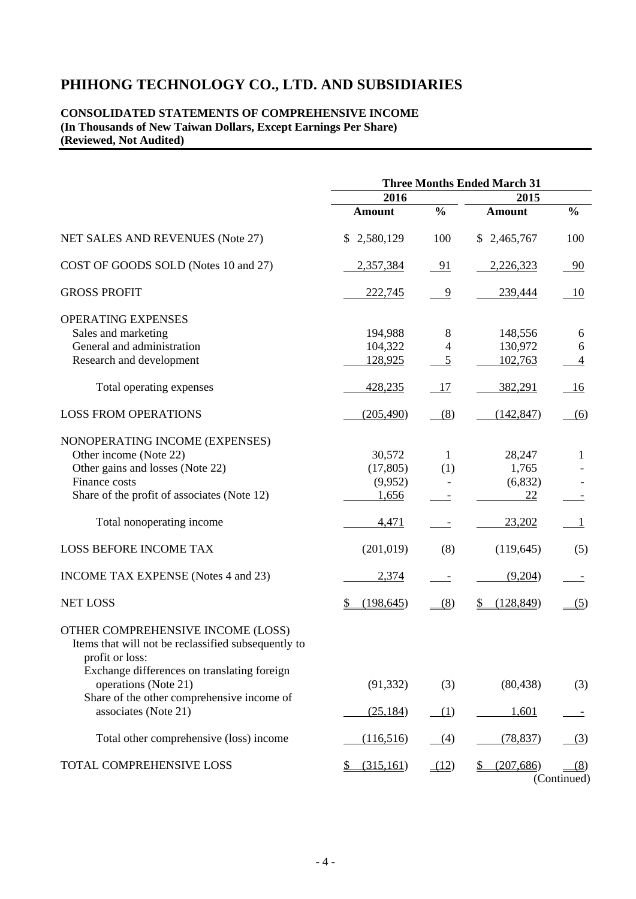#### **CONSOLIDATED STATEMENTS OF COMPREHENSIVE INCOME (In Thousands of New Taiwan Dollars, Except Earnings Per Share) (Reviewed, Not Audited)**

|                                                                                                                                                                                           | <b>Three Months Ended March 31</b>               |               |                                            |                              |  |
|-------------------------------------------------------------------------------------------------------------------------------------------------------------------------------------------|--------------------------------------------------|---------------|--------------------------------------------|------------------------------|--|
|                                                                                                                                                                                           | 2016                                             |               | 2015                                       |                              |  |
|                                                                                                                                                                                           | <b>Amount</b>                                    | $\frac{0}{0}$ | <b>Amount</b>                              | $\frac{0}{0}$                |  |
| NET SALES AND REVENUES (Note 27)                                                                                                                                                          | \$2,580,129                                      | 100           | \$2,465,767                                | 100                          |  |
| COST OF GOODS SOLD (Notes 10 and 27)                                                                                                                                                      | 2,357,384                                        | 91            | 2,226,323                                  | 90                           |  |
| <b>GROSS PROFIT</b>                                                                                                                                                                       | 222,745                                          | 9             | 239,444                                    | 10                           |  |
| <b>OPERATING EXPENSES</b><br>Sales and marketing<br>General and administration<br>Research and development                                                                                | 194,988<br>104,322<br>128,925                    | 8<br>4<br>5   | 148,556<br>130,972<br>102,763              | 6<br>6<br>$\overline{4}$     |  |
| Total operating expenses                                                                                                                                                                  | 428,235                                          | 17            | 382,291                                    | 16                           |  |
| <b>LOSS FROM OPERATIONS</b>                                                                                                                                                               | (205, 490)                                       | (8)           | (142, 847)                                 | (6)                          |  |
| NONOPERATING INCOME (EXPENSES)<br>Other income (Note 22)<br>Other gains and losses (Note 22)<br>Finance costs<br>Share of the profit of associates (Note 12)<br>Total nonoperating income | 30,572<br>(17, 805)<br>(9,952)<br>1,656<br>4,471 | 1<br>(1)      | 28,247<br>1,765<br>(6,832)<br>22<br>23,202 | $\mathbf{1}$<br>$\mathbf{1}$ |  |
| <b>LOSS BEFORE INCOME TAX</b>                                                                                                                                                             | (201, 019)                                       | (8)           | (119, 645)                                 | (5)                          |  |
| INCOME TAX EXPENSE (Notes 4 and 23)                                                                                                                                                       | 2,374                                            |               | (9,204)                                    |                              |  |
| <b>NET LOSS</b>                                                                                                                                                                           | (198, 645)<br>\$                                 | (8)           | (128, 849)                                 | (5)                          |  |
| OTHER COMPREHENSIVE INCOME (LOSS)<br>Items that will not be reclassified subsequently to<br>profit or loss:<br>Exchange differences on translating foreign                                |                                                  |               |                                            |                              |  |
| operations (Note 21)<br>Share of the other comprehensive income of                                                                                                                        | (91, 332)                                        | (3)           | (80, 438)                                  | (3)                          |  |
| associates (Note 21)                                                                                                                                                                      | (25, 184)                                        | (1)           | 1,601                                      |                              |  |
| Total other comprehensive (loss) income                                                                                                                                                   | (116,516)                                        | (4)           | (78, 837)                                  | (3)                          |  |
| TOTAL COMPREHENSIVE LOSS                                                                                                                                                                  | (315, 161)<br>\$                                 | (12)          | (207, 686)                                 | (8)<br>(Continued)           |  |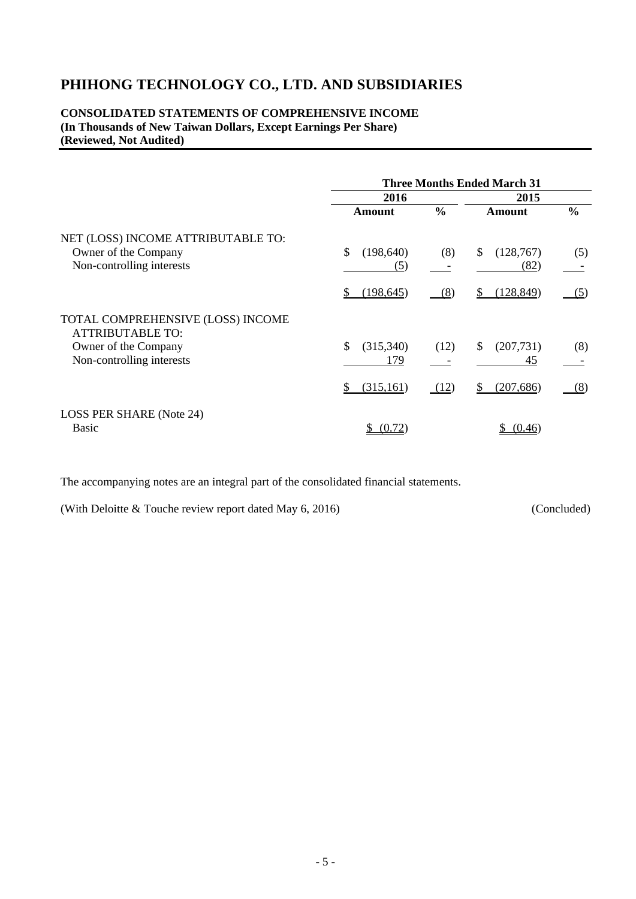## **CONSOLIDATED STATEMENTS OF COMPREHENSIVE INCOME (In Thousands of New Taiwan Dollars, Except Earnings Per Share) (Reviewed, Not Audited)**

|                                                                                                                   | <b>Three Months Ended March 31</b> |               |                                  |               |  |  |
|-------------------------------------------------------------------------------------------------------------------|------------------------------------|---------------|----------------------------------|---------------|--|--|
|                                                                                                                   | 2016                               | 2015          |                                  |               |  |  |
|                                                                                                                   | <b>Amount</b>                      | $\frac{0}{0}$ | <b>Amount</b>                    | $\frac{0}{0}$ |  |  |
| NET (LOSS) INCOME ATTRIBUTABLE TO:<br>Owner of the Company<br>Non-controlling interests                           | \$<br>(198, 640)<br>(5)            | (8)           | (128,767)<br>\$<br>(82)          | (5)           |  |  |
|                                                                                                                   | \$<br>(198, 645)                   | (8)           | 128,849)                         | <u>(5)</u>    |  |  |
| TOTAL COMPREHENSIVE (LOSS) INCOME<br><b>ATTRIBUTABLE TO:</b><br>Owner of the Company<br>Non-controlling interests | \$<br>(315,340)<br>179             | (12)          | (207, 731)<br><sup>S</sup><br>45 | (8)           |  |  |
|                                                                                                                   | \$<br>(315, 161)                   | (12)          | (207, 686)                       | <u>(8)</u>    |  |  |
| LOSS PER SHARE (Note 24)<br><b>Basic</b>                                                                          | (0.72)                             |               | (0.46)                           |               |  |  |

The accompanying notes are an integral part of the consolidated financial statements.

(With Deloitte & Touche review report dated May 6, 2016) (Concluded)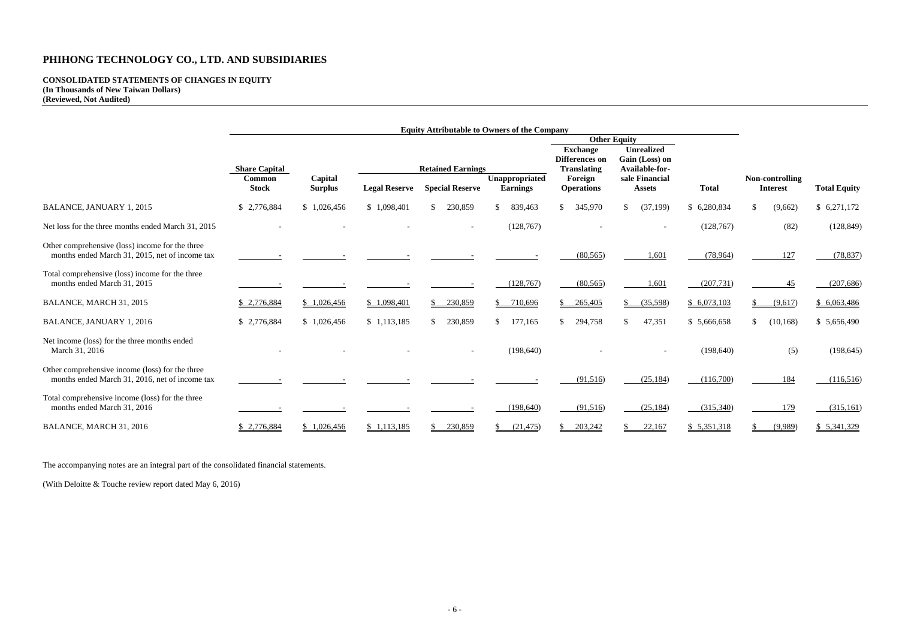| <b>Total</b>       | Non-controlling<br><b>Interest</b> |            | <b>Total Equity</b> |
|--------------------|------------------------------------|------------|---------------------|
| \$<br>6,280,834    | \$                                 | (9,662)    | \$6,271,172         |
| (128, 767)         |                                    | (82)       | (128, 849)          |
| (78, 964)          |                                    | <u>127</u> | (78, 837)           |
| (207, 731)         |                                    | 45         | (207, 686)          |
| \$<br>6,073,103    | $\mathsf{S}$                       | (9,617)    | \$6,063,486         |
| \$<br>5,666,658    | \$<br>(10, 168)                    |            | \$5,656,490         |
| (198, 640)         |                                    | (5)        | (198, 645)          |
| (116,700)          |                                    | <u>184</u> | (116, 516)          |
| (315,340)          |                                    | <u>179</u> | (315, 161)          |
| <u>\$5,351,318</u> | <u>\$</u>                          | (9,989)    | \$ 5,341,329        |

#### **CONSOLIDATED STATEMENTS OF CHANGES IN EQUITY (In Thousands of New Taiwan Dollars) (Reviewed, Not Audited)**

|                                                                                                   | <b>Equity Attributable to Owners of the Company</b> |                           |                      |                          |                                   |                                                                |                                                       |              |                                    |                     |
|---------------------------------------------------------------------------------------------------|-----------------------------------------------------|---------------------------|----------------------|--------------------------|-----------------------------------|----------------------------------------------------------------|-------------------------------------------------------|--------------|------------------------------------|---------------------|
|                                                                                                   |                                                     | <b>Other Equity</b>       |                      |                          |                                   |                                                                |                                                       |              |                                    |                     |
|                                                                                                   | <b>Share Capital</b>                                |                           |                      | <b>Retained Earnings</b> |                                   | <b>Exchange</b><br><b>Differences on</b><br><b>Translating</b> | <b>Unrealized</b><br>Gain (Loss) on<br>Available-for- |              |                                    |                     |
|                                                                                                   | Common<br><b>Stock</b>                              | Capital<br><b>Surplus</b> | <b>Legal Reserve</b> | <b>Special Reserve</b>   | Unappropriated<br><b>Earnings</b> | Foreign<br><b>Operations</b>                                   | sale Financial<br><b>Assets</b>                       | <b>Total</b> | Non-controlling<br><b>Interest</b> | <b>Total Equity</b> |
| <b>BALANCE, JANUARY 1, 2015</b>                                                                   | \$2,776,884                                         | \$1,026,456               | \$1,098,401          | 230,859<br>$\mathbb{S}$  | $\mathcal{S}$<br>839,463          | $\mathcal{S}$<br>345,970                                       | (37, 199)<br>\$                                       | \$6,280,834  | \$<br>(9,662)                      | \$6,271,172         |
| Net loss for the three months ended March 31, 2015                                                |                                                     |                           |                      |                          | (128, 767)                        |                                                                |                                                       | (128,767)    | (82)                               | (128, 849)          |
| Other comprehensive (loss) income for the three<br>months ended March 31, 2015, net of income tax |                                                     |                           |                      |                          |                                   | (80, 565)                                                      | 1,601                                                 | (78,964)     | 127                                | (78, 837)           |
| Total comprehensive (loss) income for the three<br>months ended March 31, 2015                    |                                                     |                           |                      |                          | (128, 767)                        | (80, 565)                                                      | 1,601                                                 | (207, 731)   | 45                                 | (207, 686)          |
| BALANCE, MARCH 31, 2015                                                                           | \$2,776,884                                         | \$1,026,456               | \$1,098,401          | 230,859                  | \$<br>710,696                     | 265,405                                                        | (35,598)                                              | \$6,073,103  | (9,617)                            | \$6,063,486         |
| BALANCE, JANUARY 1, 2016                                                                          | \$2,776,884                                         | \$1,026,456               | \$1,113,185          | 230,859<br>$\mathbb{S}$  | $\mathcal{S}$<br>177,165          | $\mathcal{S}$<br>294,758                                       | 47,351<br>$\mathcal{S}$                               | \$5,666,658  | (10, 168)<br><sup>\$</sup>         | \$5,656,490         |
| Net income (loss) for the three months ended<br>March 31, 2016                                    |                                                     |                           |                      |                          | (198, 640)                        |                                                                |                                                       | (198, 640)   | (5)                                | (198, 645)          |
| Other comprehensive income (loss) for the three<br>months ended March 31, 2016, net of income tax |                                                     |                           |                      |                          |                                   | (91, 516)                                                      | (25, 184)                                             | (116,700)    | 184                                | (116,516)           |
| Total comprehensive income (loss) for the three<br>months ended March 31, 2016                    |                                                     |                           |                      |                          | (198, 640)                        | (91,516)                                                       | (25, 184)                                             | (315,340)    | 179                                | (315,161)           |
| BALANCE, MARCH 31, 2016                                                                           | \$2,776,884                                         | \$1,026,456               | \$1,113,185          | 230,859                  | (21, 475)                         | 203,242<br>\$.                                                 | 22,167                                                | \$5,351,318  | (9,989)                            | \$5,341,329         |

The accompanying notes are an integral part of the consolidated financial statements.

(With Deloitte & Touche review report dated May 6, 2016)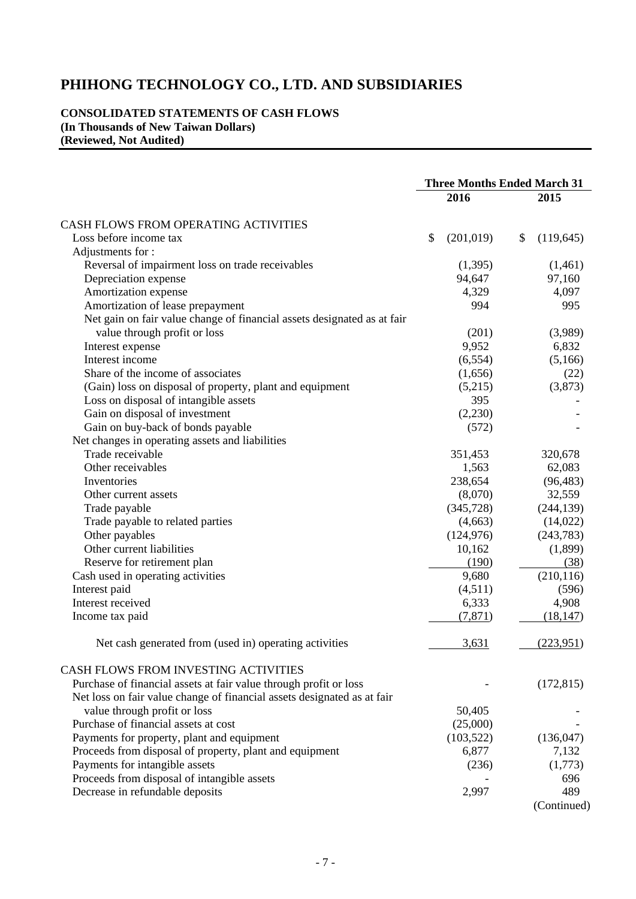#### **CONSOLIDATED STATEMENTS OF CASH FLOWS (In Thousands of New Taiwan Dollars) (Reviewed, Not Audited)**

|                                                                         | <b>Three Months Ended March 31</b> |            |    |            |
|-------------------------------------------------------------------------|------------------------------------|------------|----|------------|
|                                                                         |                                    | 2016       |    | 2015       |
| <b>CASH FLOWS FROM OPERATING ACTIVITIES</b>                             |                                    |            |    |            |
| Loss before income tax                                                  | \$                                 | (201, 019) | \$ | (119, 645) |
| Adjustments for :                                                       |                                    |            |    |            |
| Reversal of impairment loss on trade receivables                        |                                    | (1,395)    |    | (1,461)    |
| Depreciation expense                                                    |                                    | 94,647     |    | 97,160     |
| Amortization expense                                                    |                                    | 4,329      |    | 4,097      |
| Amortization of lease prepayment                                        |                                    | 994        |    | 995        |
| Net gain on fair value change of financial assets designated as at fair |                                    |            |    |            |
| value through profit or loss                                            |                                    | (201)      |    | (3,989)    |
| Interest expense                                                        |                                    | 9,952      |    | 6,832      |
| Interest income                                                         |                                    | (6, 554)   |    | (5,166)    |
| Share of the income of associates                                       |                                    | (1,656)    |    | (22)       |
| (Gain) loss on disposal of property, plant and equipment                |                                    | (5,215)    |    | (3,873)    |
| Loss on disposal of intangible assets                                   |                                    | 395        |    |            |
| Gain on disposal of investment                                          |                                    | (2,230)    |    |            |
| Gain on buy-back of bonds payable                                       |                                    | (572)      |    |            |
| Net changes in operating assets and liabilities                         |                                    |            |    |            |
| Trade receivable                                                        |                                    | 351,453    |    | 320,678    |
| Other receivables                                                       |                                    | 1,563      |    | 62,083     |
| Inventories                                                             |                                    | 238,654    |    | (96, 483)  |
| Other current assets                                                    |                                    | (8,070)    |    | 32,559     |
| Trade payable                                                           |                                    | (345, 728) |    | (244, 139) |
| Trade payable to related parties                                        |                                    | (4,663)    |    | (14,022)   |
| Other payables                                                          |                                    | (124, 976) |    | (243, 783) |
| Other current liabilities                                               |                                    | 10,162     |    | (1,899)    |
| Reserve for retirement plan                                             |                                    | (190)      |    | (38)       |
| Cash used in operating activities                                       |                                    | 9,680      |    | (210, 116) |
| Interest paid                                                           |                                    | (4,511)    |    | (596)      |
| Interest received                                                       |                                    | 6,333      |    | 4,908      |
| Income tax paid                                                         |                                    | (7, 871)   |    | (18, 147)  |
|                                                                         |                                    |            |    |            |
| Net cash generated from (used in) operating activities                  |                                    | 3,631      |    | (223,951)  |
| <b>CASH FLOWS FROM INVESTING ACTIVITIES</b>                             |                                    |            |    |            |
| Purchase of financial assets at fair value through profit or loss       |                                    |            |    | (172, 815) |
| Net loss on fair value change of financial assets designated as at fair |                                    |            |    |            |
| value through profit or loss                                            |                                    | 50,405     |    |            |
| Purchase of financial assets at cost                                    |                                    | (25,000)   |    |            |
| Payments for property, plant and equipment                              |                                    | (103, 522) |    | (136, 047) |
| Proceeds from disposal of property, plant and equipment                 |                                    | 6,877      |    | 7,132      |
| Payments for intangible assets                                          |                                    | (236)      |    | (1,773)    |
| Proceeds from disposal of intangible assets                             |                                    |            |    | 696        |
| Decrease in refundable deposits                                         |                                    | 2,997      |    | 489        |

(Continued)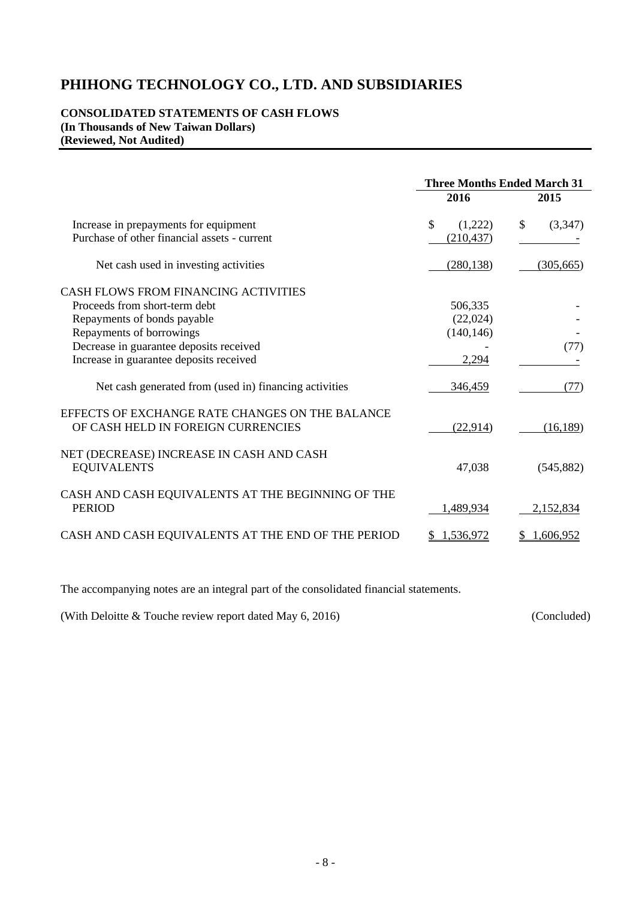#### **CONSOLIDATED STATEMENTS OF CASH FLOWS (In Thousands of New Taiwan Dollars) (Reviewed, Not Audited)**

|                                                                                       | <b>Three Months Ended March 31</b> |                |  |
|---------------------------------------------------------------------------------------|------------------------------------|----------------|--|
|                                                                                       | 2016                               | 2015           |  |
| Increase in prepayments for equipment                                                 | $\mathcal{S}$<br>(1,222)           | \$<br>(3,347)  |  |
| Purchase of other financial assets - current                                          | (210, 437)                         |                |  |
| Net cash used in investing activities                                                 | (280, 138)                         | (305, 665)     |  |
| <b>CASH FLOWS FROM FINANCING ACTIVITIES</b>                                           |                                    |                |  |
| Proceeds from short-term debt                                                         | 506,335                            |                |  |
| Repayments of bonds payable                                                           | (22,024)                           |                |  |
| Repayments of borrowings                                                              | (140, 146)                         |                |  |
| Decrease in guarantee deposits received                                               |                                    | (77)           |  |
| Increase in guarantee deposits received                                               | 2,294                              |                |  |
| Net cash generated from (used in) financing activities                                | 346,459                            | (77)           |  |
| EFFECTS OF EXCHANGE RATE CHANGES ON THE BALANCE<br>OF CASH HELD IN FOREIGN CURRENCIES | (22, 914)                          | (16, 189)      |  |
| NET (DECREASE) INCREASE IN CASH AND CASH<br><b>EQUIVALENTS</b>                        | 47,038                             | (545, 882)     |  |
| CASH AND CASH EQUIVALENTS AT THE BEGINNING OF THE<br><b>PERIOD</b>                    | 1,489,934                          | 2,152,834      |  |
| CASH AND CASH EQUIVALENTS AT THE END OF THE PERIOD                                    | 1,536,972<br>S                     | 1,606,952<br>S |  |

The accompanying notes are an integral part of the consolidated financial statements.

(With Deloitte & Touche review report dated May 6, 2016) (Concluded)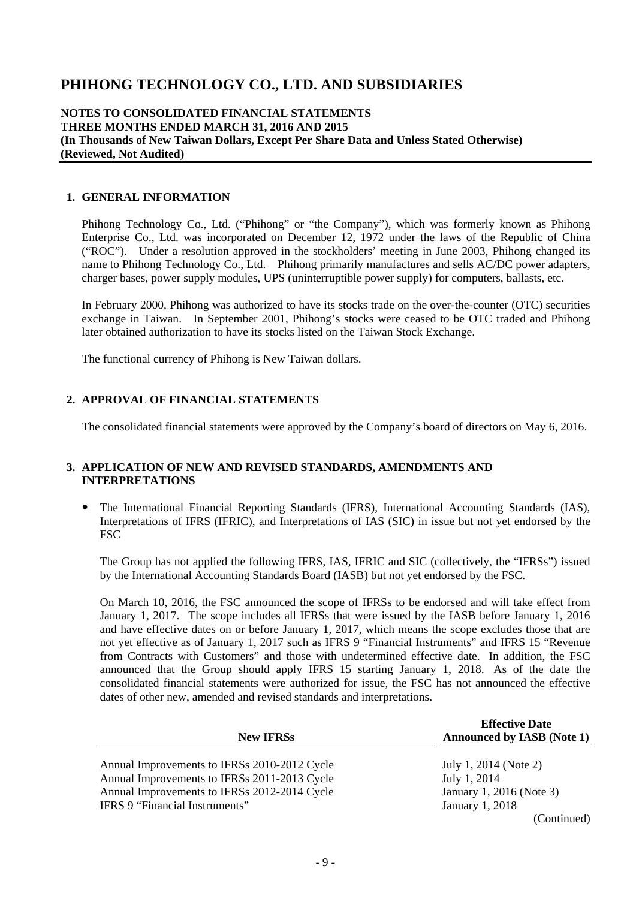## **NOTES TO CONSOLIDATED FINANCIAL STATEMENTS THREE MONTHS ENDED MARCH 31, 2016 AND 2015 (In Thousands of New Taiwan Dollars, Except Per Share Data and Unless Stated Otherwise) (Reviewed, Not Audited)**

## **1. GENERAL INFORMATION**

Phihong Technology Co., Ltd. ("Phihong" or "the Company"), which was formerly known as Phihong Enterprise Co., Ltd. was incorporated on December 12, 1972 under the laws of the Republic of China ("ROC"). Under a resolution approved in the stockholders' meeting in June 2003, Phihong changed its name to Phihong Technology Co., Ltd. Phihong primarily manufactures and sells AC/DC power adapters, charger bases, power supply modules, UPS (uninterruptible power supply) for computers, ballasts, etc.

In February 2000, Phihong was authorized to have its stocks trade on the over-the-counter (OTC) securities exchange in Taiwan. In September 2001, Phihong's stocks were ceased to be OTC traded and Phihong later obtained authorization to have its stocks listed on the Taiwan Stock Exchange.

The functional currency of Phihong is New Taiwan dollars.

## **2. APPROVAL OF FINANCIAL STATEMENTS**

The consolidated financial statements were approved by the Company's board of directors on May 6, 2016.

## **3. APPLICATION OF NEW AND REVISED STANDARDS, AMENDMENTS AND INTERPRETATIONS**

 The International Financial Reporting Standards (IFRS), International Accounting Standards (IAS), Interpretations of IFRS (IFRIC), and Interpretations of IAS (SIC) in issue but not yet endorsed by the FSC

The Group has not applied the following IFRS, IAS, IFRIC and SIC (collectively, the "IFRSs") issued by the International Accounting Standards Board (IASB) but not yet endorsed by the FSC.

On March 10, 2016, the FSC announced the scope of IFRSs to be endorsed and will take effect from January 1, 2017. The scope includes all IFRSs that were issued by the IASB before January 1, 2016 and have effective dates on or before January 1, 2017, which means the scope excludes those that are not yet effective as of January 1, 2017 such as IFRS 9 "Financial Instruments" and IFRS 15 "Revenue from Contracts with Customers" and those with undetermined effective date. In addition, the FSC announced that the Group should apply IFRS 15 starting January 1, 2018. As of the date the consolidated financial statements were authorized for issue, the FSC has not announced the effective dates of other new, amended and revised standards and interpretations.

| <b>New IFRSs</b>                             | <b>Effective Date</b><br><b>Announced by IASB (Note 1)</b> |
|----------------------------------------------|------------------------------------------------------------|
| Annual Improvements to IFRSs 2010-2012 Cycle | July 1, 2014 (Note 2)                                      |
| Annual Improvements to IFRSs 2011-2013 Cycle | July 1, 2014                                               |
| Annual Improvements to IFRSs 2012-2014 Cycle | January 1, 2016 (Note 3)                                   |
| IFRS 9 "Financial Instruments"               | January 1, 2018                                            |
|                                              | (Continued)                                                |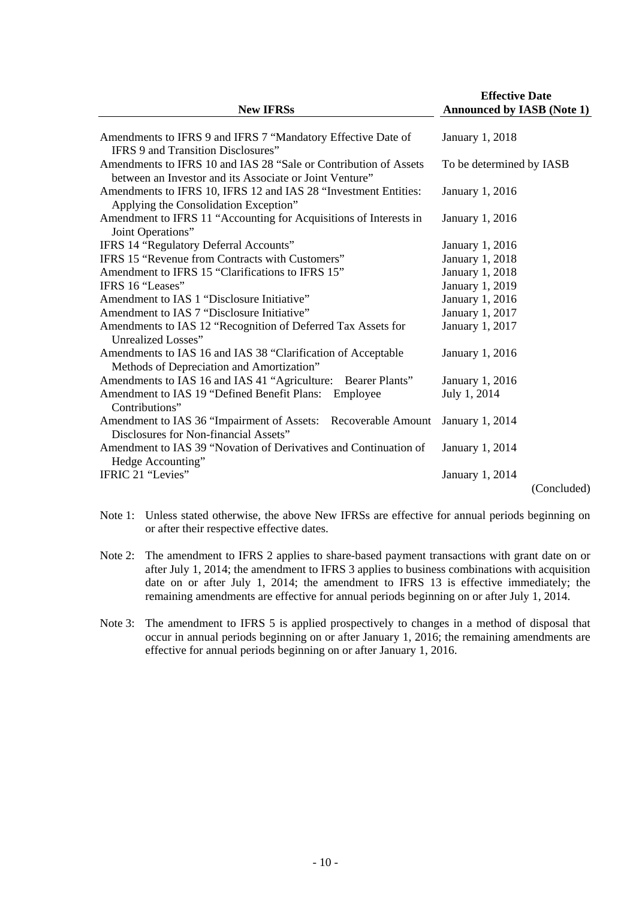| <b>New IFRSs</b>                                                                                                                                                  | <b>Effective Date</b><br><b>Announced by IASB (Note 1)</b> |
|-------------------------------------------------------------------------------------------------------------------------------------------------------------------|------------------------------------------------------------|
| Amendments to IFRS 9 and IFRS 7 "Mandatory Effective Date of                                                                                                      | January 1, 2018                                            |
| IFRS 9 and Transition Disclosures"<br>Amendments to IFRS 10 and IAS 28 "Sale or Contribution of Assets<br>between an Investor and its Associate or Joint Venture" | To be determined by IASB                                   |
| Amendments to IFRS 10, IFRS 12 and IAS 28 "Investment Entities:<br>Applying the Consolidation Exception"                                                          | January 1, 2016                                            |
| Amendment to IFRS 11 "Accounting for Acquisitions of Interests in<br>Joint Operations"                                                                            | January 1, 2016                                            |
| IFRS 14 "Regulatory Deferral Accounts"                                                                                                                            | January 1, 2016                                            |
| IFRS 15 "Revenue from Contracts with Customers"                                                                                                                   | January 1, 2018                                            |
| Amendment to IFRS 15 "Clarifications to IFRS 15"                                                                                                                  | January 1, 2018                                            |
| IFRS 16 "Leases"                                                                                                                                                  | January 1, 2019                                            |
| Amendment to IAS 1 "Disclosure Initiative"                                                                                                                        | January 1, 2016                                            |
| Amendment to IAS 7 "Disclosure Initiative"                                                                                                                        | January 1, 2017                                            |
| Amendments to IAS 12 "Recognition of Deferred Tax Assets for<br>Unrealized Losses"                                                                                | January 1, 2017                                            |
| Amendments to IAS 16 and IAS 38 "Clarification of Acceptable<br>Methods of Depreciation and Amortization"                                                         | January 1, 2016                                            |
| Amendments to IAS 16 and IAS 41 "Agriculture: Bearer Plants"                                                                                                      | January 1, 2016                                            |
| Amendment to IAS 19 "Defined Benefit Plans: Employee<br>Contributions"                                                                                            | July 1, 2014                                               |
| Amendment to IAS 36 "Impairment of Assets: Recoverable Amount<br>Disclosures for Non-financial Assets"                                                            | January 1, 2014                                            |
| Amendment to IAS 39 "Novation of Derivatives and Continuation of<br>Hedge Accounting"                                                                             | January 1, 2014                                            |
| IFRIC 21 "Levies"                                                                                                                                                 | January 1, 2014                                            |
|                                                                                                                                                                   | (Concluded)                                                |

- Note 1: Unless stated otherwise, the above New IFRSs are effective for annual periods beginning on or after their respective effective dates.
- Note 2: The amendment to IFRS 2 applies to share-based payment transactions with grant date on or after July 1, 2014; the amendment to IFRS 3 applies to business combinations with acquisition date on or after July 1, 2014; the amendment to IFRS 13 is effective immediately; the remaining amendments are effective for annual periods beginning on or after July 1, 2014.
- Note 3: The amendment to IFRS 5 is applied prospectively to changes in a method of disposal that occur in annual periods beginning on or after January 1, 2016; the remaining amendments are effective for annual periods beginning on or after January 1, 2016.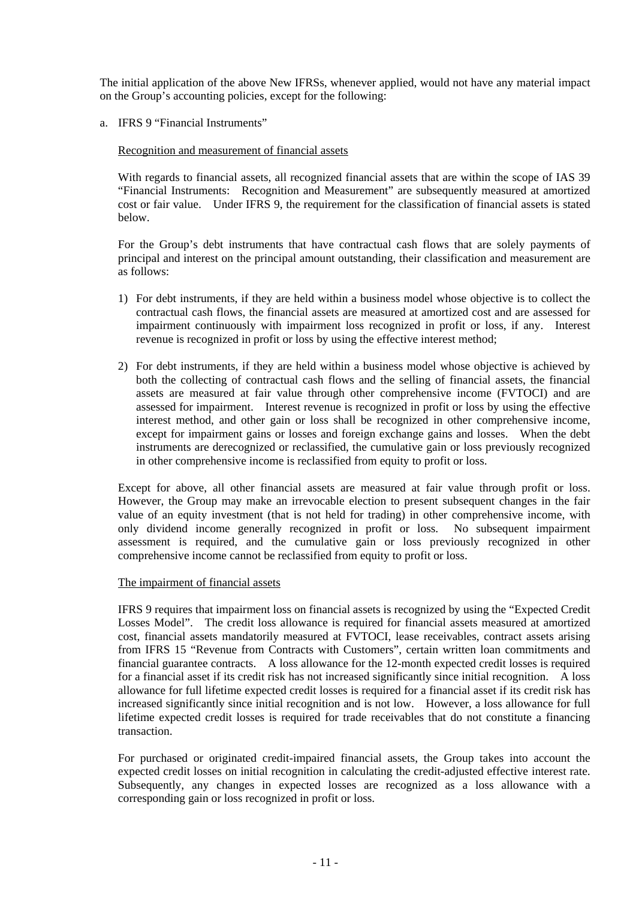The initial application of the above New IFRSs, whenever applied, would not have any material impact on the Group's accounting policies, except for the following:

a. IFRS 9 "Financial Instruments"

## Recognition and measurement of financial assets

With regards to financial assets, all recognized financial assets that are within the scope of IAS 39 "Financial Instruments: Recognition and Measurement" are subsequently measured at amortized cost or fair value. Under IFRS 9, the requirement for the classification of financial assets is stated below.

For the Group's debt instruments that have contractual cash flows that are solely payments of principal and interest on the principal amount outstanding, their classification and measurement are as follows:

- 1) For debt instruments, if they are held within a business model whose objective is to collect the contractual cash flows, the financial assets are measured at amortized cost and are assessed for impairment continuously with impairment loss recognized in profit or loss, if any. Interest revenue is recognized in profit or loss by using the effective interest method;
- 2) For debt instruments, if they are held within a business model whose objective is achieved by both the collecting of contractual cash flows and the selling of financial assets, the financial assets are measured at fair value through other comprehensive income (FVTOCI) and are assessed for impairment. Interest revenue is recognized in profit or loss by using the effective interest method, and other gain or loss shall be recognized in other comprehensive income, except for impairment gains or losses and foreign exchange gains and losses. When the debt instruments are derecognized or reclassified, the cumulative gain or loss previously recognized in other comprehensive income is reclassified from equity to profit or loss.

Except for above, all other financial assets are measured at fair value through profit or loss. However, the Group may make an irrevocable election to present subsequent changes in the fair value of an equity investment (that is not held for trading) in other comprehensive income, with only dividend income generally recognized in profit or loss. No subsequent impairment assessment is required, and the cumulative gain or loss previously recognized in other comprehensive income cannot be reclassified from equity to profit or loss.

## The impairment of financial assets

IFRS 9 requires that impairment loss on financial assets is recognized by using the "Expected Credit Losses Model". The credit loss allowance is required for financial assets measured at amortized cost, financial assets mandatorily measured at FVTOCI, lease receivables, contract assets arising from IFRS 15 "Revenue from Contracts with Customers", certain written loan commitments and financial guarantee contracts. A loss allowance for the 12-month expected credit losses is required for a financial asset if its credit risk has not increased significantly since initial recognition. A loss allowance for full lifetime expected credit losses is required for a financial asset if its credit risk has increased significantly since initial recognition and is not low. However, a loss allowance for full lifetime expected credit losses is required for trade receivables that do not constitute a financing transaction.

For purchased or originated credit-impaired financial assets, the Group takes into account the expected credit losses on initial recognition in calculating the credit-adjusted effective interest rate. Subsequently, any changes in expected losses are recognized as a loss allowance with a corresponding gain or loss recognized in profit or loss.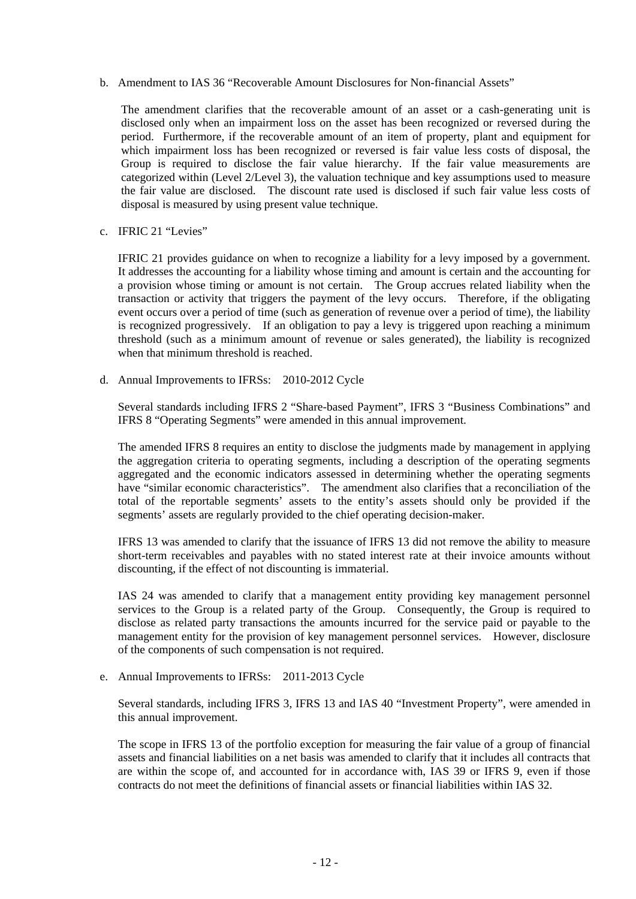b. Amendment to IAS 36 "Recoverable Amount Disclosures for Non-financial Assets"

The amendment clarifies that the recoverable amount of an asset or a cash-generating unit is disclosed only when an impairment loss on the asset has been recognized or reversed during the period. Furthermore, if the recoverable amount of an item of property, plant and equipment for which impairment loss has been recognized or reversed is fair value less costs of disposal, the Group is required to disclose the fair value hierarchy. If the fair value measurements are categorized within (Level 2/Level 3), the valuation technique and key assumptions used to measure the fair value are disclosed. The discount rate used is disclosed if such fair value less costs of disposal is measured by using present value technique.

c. IFRIC 21 "Levies"

IFRIC 21 provides guidance on when to recognize a liability for a levy imposed by a government. It addresses the accounting for a liability whose timing and amount is certain and the accounting for a provision whose timing or amount is not certain. The Group accrues related liability when the transaction or activity that triggers the payment of the levy occurs. Therefore, if the obligating event occurs over a period of time (such as generation of revenue over a period of time), the liability is recognized progressively. If an obligation to pay a levy is triggered upon reaching a minimum threshold (such as a minimum amount of revenue or sales generated), the liability is recognized when that minimum threshold is reached.

d. Annual Improvements to IFRSs: 2010-2012 Cycle

Several standards including IFRS 2 "Share-based Payment", IFRS 3 "Business Combinations" and IFRS 8 "Operating Segments" were amended in this annual improvement.

The amended IFRS 8 requires an entity to disclose the judgments made by management in applying the aggregation criteria to operating segments, including a description of the operating segments aggregated and the economic indicators assessed in determining whether the operating segments have "similar economic characteristics". The amendment also clarifies that a reconciliation of the total of the reportable segments' assets to the entity's assets should only be provided if the segments' assets are regularly provided to the chief operating decision-maker.

IFRS 13 was amended to clarify that the issuance of IFRS 13 did not remove the ability to measure short-term receivables and payables with no stated interest rate at their invoice amounts without discounting, if the effect of not discounting is immaterial.

IAS 24 was amended to clarify that a management entity providing key management personnel services to the Group is a related party of the Group. Consequently, the Group is required to disclose as related party transactions the amounts incurred for the service paid or payable to the management entity for the provision of key management personnel services. However, disclosure of the components of such compensation is not required.

e. Annual Improvements to IFRSs: 2011-2013 Cycle

Several standards, including IFRS 3, IFRS 13 and IAS 40 "Investment Property", were amended in this annual improvement.

The scope in IFRS 13 of the portfolio exception for measuring the fair value of a group of financial assets and financial liabilities on a net basis was amended to clarify that it includes all contracts that are within the scope of, and accounted for in accordance with, IAS 39 or IFRS 9, even if those contracts do not meet the definitions of financial assets or financial liabilities within IAS 32.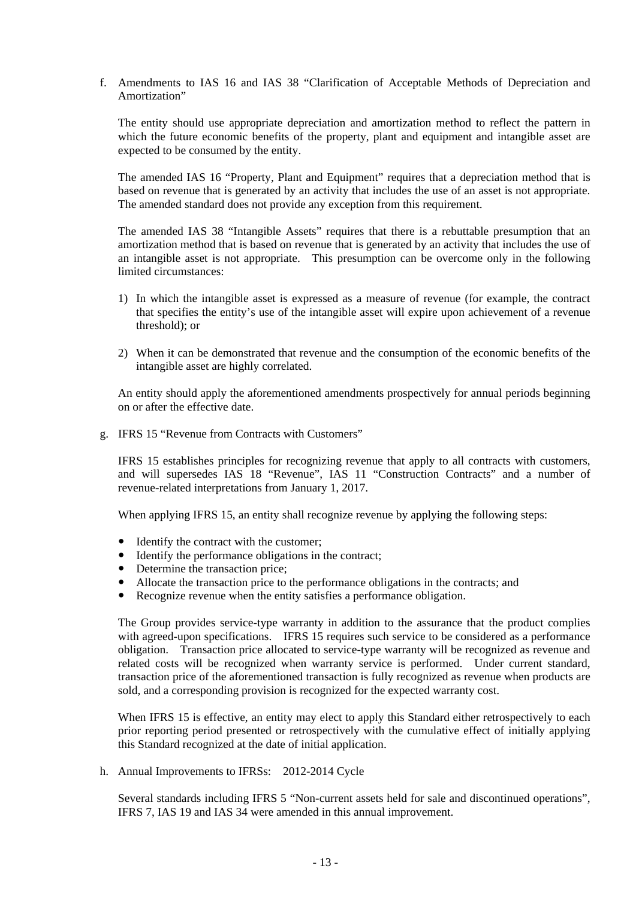f. Amendments to IAS 16 and IAS 38 "Clarification of Acceptable Methods of Depreciation and Amortization"

The entity should use appropriate depreciation and amortization method to reflect the pattern in which the future economic benefits of the property, plant and equipment and intangible asset are expected to be consumed by the entity.

The amended IAS 16 "Property, Plant and Equipment" requires that a depreciation method that is based on revenue that is generated by an activity that includes the use of an asset is not appropriate. The amended standard does not provide any exception from this requirement.

The amended IAS 38 "Intangible Assets" requires that there is a rebuttable presumption that an amortization method that is based on revenue that is generated by an activity that includes the use of an intangible asset is not appropriate. This presumption can be overcome only in the following limited circumstances:

- 1) In which the intangible asset is expressed as a measure of revenue (for example, the contract that specifies the entity's use of the intangible asset will expire upon achievement of a revenue threshold); or
- 2) When it can be demonstrated that revenue and the consumption of the economic benefits of the intangible asset are highly correlated.

An entity should apply the aforementioned amendments prospectively for annual periods beginning on or after the effective date.

g. IFRS 15 "Revenue from Contracts with Customers"

IFRS 15 establishes principles for recognizing revenue that apply to all contracts with customers, and will supersedes IAS 18 "Revenue", IAS 11 "Construction Contracts" and a number of revenue-related interpretations from January 1, 2017.

When applying IFRS 15, an entity shall recognize revenue by applying the following steps:

- Identify the contract with the customer;
- Identify the performance obligations in the contract;
- Determine the transaction price;
- Allocate the transaction price to the performance obligations in the contracts; and
- Recognize revenue when the entity satisfies a performance obligation.

The Group provides service-type warranty in addition to the assurance that the product complies with agreed-upon specifications. IFRS 15 requires such service to be considered as a performance obligation. Transaction price allocated to service-type warranty will be recognized as revenue and related costs will be recognized when warranty service is performed. Under current standard, transaction price of the aforementioned transaction is fully recognized as revenue when products are sold, and a corresponding provision is recognized for the expected warranty cost.

When IFRS 15 is effective, an entity may elect to apply this Standard either retrospectively to each prior reporting period presented or retrospectively with the cumulative effect of initially applying this Standard recognized at the date of initial application.

h. Annual Improvements to IFRSs: 2012-2014 Cycle

Several standards including IFRS 5 "Non-current assets held for sale and discontinued operations", IFRS 7, IAS 19 and IAS 34 were amended in this annual improvement.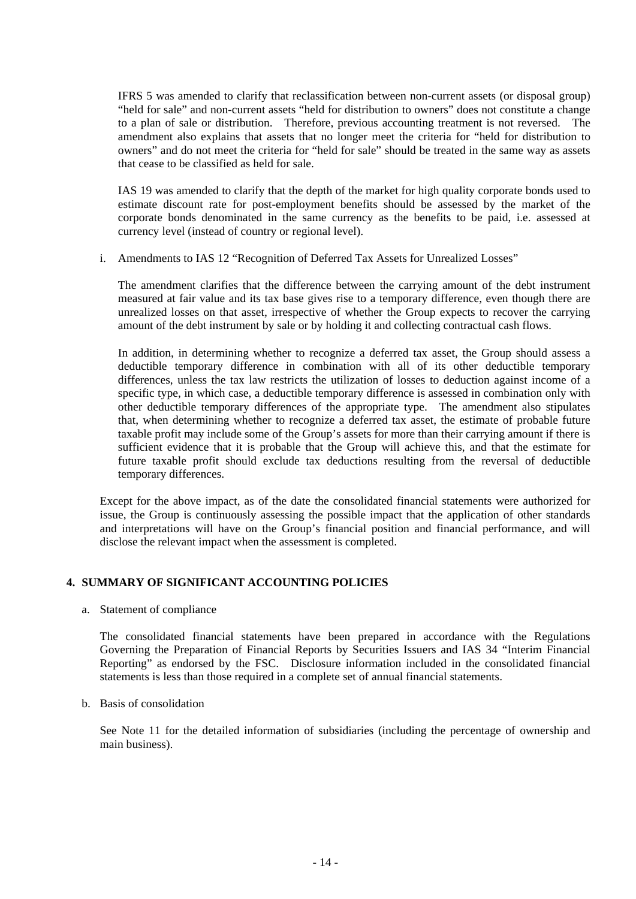IFRS 5 was amended to clarify that reclassification between non-current assets (or disposal group) "held for sale" and non-current assets "held for distribution to owners" does not constitute a change to a plan of sale or distribution. Therefore, previous accounting treatment is not reversed. The amendment also explains that assets that no longer meet the criteria for "held for distribution to owners" and do not meet the criteria for "held for sale" should be treated in the same way as assets that cease to be classified as held for sale.

IAS 19 was amended to clarify that the depth of the market for high quality corporate bonds used to estimate discount rate for post-employment benefits should be assessed by the market of the corporate bonds denominated in the same currency as the benefits to be paid, i.e. assessed at currency level (instead of country or regional level).

i. Amendments to IAS 12 "Recognition of Deferred Tax Assets for Unrealized Losses"

The amendment clarifies that the difference between the carrying amount of the debt instrument measured at fair value and its tax base gives rise to a temporary difference, even though there are unrealized losses on that asset, irrespective of whether the Group expects to recover the carrying amount of the debt instrument by sale or by holding it and collecting contractual cash flows.

In addition, in determining whether to recognize a deferred tax asset, the Group should assess a deductible temporary difference in combination with all of its other deductible temporary differences, unless the tax law restricts the utilization of losses to deduction against income of a specific type, in which case, a deductible temporary difference is assessed in combination only with other deductible temporary differences of the appropriate type. The amendment also stipulates that, when determining whether to recognize a deferred tax asset, the estimate of probable future taxable profit may include some of the Group's assets for more than their carrying amount if there is sufficient evidence that it is probable that the Group will achieve this, and that the estimate for future taxable profit should exclude tax deductions resulting from the reversal of deductible temporary differences.

Except for the above impact, as of the date the consolidated financial statements were authorized for issue, the Group is continuously assessing the possible impact that the application of other standards and interpretations will have on the Group's financial position and financial performance, and will disclose the relevant impact when the assessment is completed.

## **4. SUMMARY OF SIGNIFICANT ACCOUNTING POLICIES**

a. Statement of compliance

The consolidated financial statements have been prepared in accordance with the Regulations Governing the Preparation of Financial Reports by Securities Issuers and IAS 34 "Interim Financial Reporting" as endorsed by the FSC. Disclosure information included in the consolidated financial statements is less than those required in a complete set of annual financial statements.

b. Basis of consolidation

See Note 11 for the detailed information of subsidiaries (including the percentage of ownership and main business).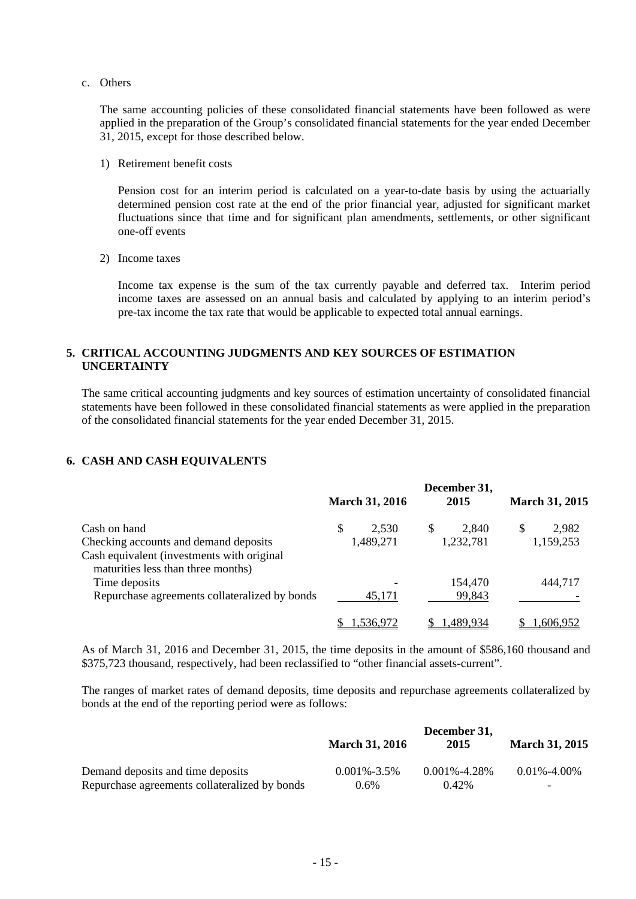c. Others

The same accounting policies of these consolidated financial statements have been followed as were applied in the preparation of the Group's consolidated financial statements for the year ended December 31, 2015, except for those described below.

1) Retirement benefit costs

Pension cost for an interim period is calculated on a year-to-date basis by using the actuarially determined pension cost rate at the end of the prior financial year, adjusted for significant market fluctuations since that time and for significant plan amendments, settlements, or other significant one-off events

2) Income taxes

Income tax expense is the sum of the tax currently payable and deferred tax. Interim period income taxes are assessed on an annual basis and calculated by applying to an interim period's pre-tax income the tax rate that would be applicable to expected total annual earnings.

## **5. CRITICAL ACCOUNTING JUDGMENTS AND KEY SOURCES OF ESTIMATION UNCERTAINTY**

The same critical accounting judgments and key sources of estimation uncertainty of consolidated financial statements have been followed in these consolidated financial statements as were applied in the preparation of the consolidated financial statements for the year ended December 31, 2015.

## **6. CASH AND CASH EQUIVALENTS**

|                                                                                  |  | <b>March 31, 2016</b> |   | December 31,<br>2015 |   | <b>March 31, 2015</b> |
|----------------------------------------------------------------------------------|--|-----------------------|---|----------------------|---|-----------------------|
| Cash on hand                                                                     |  | 2,530                 | S | 2,840                | S | 2,982                 |
| Checking accounts and demand deposits                                            |  | 1,489,271             |   | 1,232,781            |   | 1,159,253             |
| Cash equivalent (investments with original<br>maturities less than three months) |  |                       |   |                      |   |                       |
| Time deposits                                                                    |  |                       |   | 154,470              |   | 444,717               |
| Repurchase agreements collateralized by bonds                                    |  | 45,171                |   | 99,843               |   |                       |
|                                                                                  |  | .536.972              |   | 1.489.934            |   | .606.952              |

As of March 31, 2016 and December 31, 2015, the time deposits in the amount of \$586,160 thousand and \$375,723 thousand, respectively, had been reclassified to "other financial assets-current".

The ranges of market rates of demand deposits, time deposits and repurchase agreements collateralized by bonds at the end of the reporting period were as follows:

|                                               | December 31,          |                  |                       |  |  |
|-----------------------------------------------|-----------------------|------------------|-----------------------|--|--|
|                                               | <b>March 31, 2016</b> | 2015             | <b>March 31, 2015</b> |  |  |
| Demand deposits and time deposits             | $0.001\% - 3.5\%$     | $0.001\%$ -4.28% | $0.01\% - 4.00\%$     |  |  |
| Repurchase agreements collateralized by bonds | $0.6\%$               | $0.42\%$         | -                     |  |  |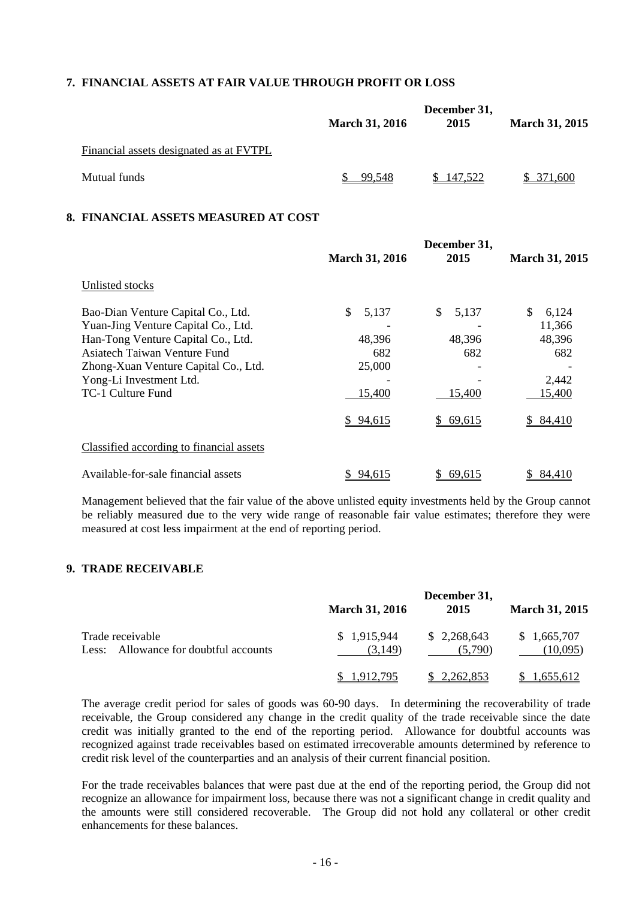## **7. FINANCIAL ASSETS AT FAIR VALUE THROUGH PROFIT OR LOSS**

|                                         | <b>March 31, 2016</b> | December 31,<br>2015 | <b>March 31, 2015</b> |
|-----------------------------------------|-----------------------|----------------------|-----------------------|
| Financial assets designated as at FVTPL |                       |                      |                       |
| Mutual funds                            | 99,548                | 147,522              | \$371,600             |

## **8. FINANCIAL ASSETS MEASURED AT COST**

|                                          | <b>March 31, 2016</b> | December 31,<br>2015 | <b>March 31, 2015</b> |
|------------------------------------------|-----------------------|----------------------|-----------------------|
| Unlisted stocks                          |                       |                      |                       |
| Bao-Dian Venture Capital Co., Ltd.       | \$<br>5,137           | \$.<br>5,137         | \$<br>6,124           |
| Yuan-Jing Venture Capital Co., Ltd.      |                       |                      | 11,366                |
| Han-Tong Venture Capital Co., Ltd.       | 48,396                | 48,396               | 48,396                |
| Asiatech Taiwan Venture Fund             | 682                   | 682                  | 682                   |
| Zhong-Xuan Venture Capital Co., Ltd.     | 25,000                |                      |                       |
| Yong-Li Investment Ltd.                  |                       |                      | 2,442                 |
| TC-1 Culture Fund                        | 15,400                | 15,400               | 15,400                |
|                                          | \$94,615              | \$69,615             | <u>\$ 84,410</u>      |
| Classified according to financial assets |                       |                      |                       |
| Available-for-sale financial assets      | 94,615                | 69,615               | 84,410                |

Management believed that the fair value of the above unlisted equity investments held by the Group cannot be reliably measured due to the very wide range of reasonable fair value estimates; therefore they were measured at cost less impairment at the end of reporting period.

## **9. TRADE RECEIVABLE**

|                                                           | <b>March 31, 2016</b>  | December 31,<br>2015   | <b>March 31, 2015</b>   |
|-----------------------------------------------------------|------------------------|------------------------|-------------------------|
| Trade receivable<br>Less: Allowance for doubtful accounts | \$1,915,944<br>(3.149) | \$2,268,643<br>(5.790) | \$1,665,707<br>(10,095) |
|                                                           | .912.795               | <u>\$2,262,853</u>     | .655.612                |

The average credit period for sales of goods was 60-90 days. In determining the recoverability of trade receivable, the Group considered any change in the credit quality of the trade receivable since the date credit was initially granted to the end of the reporting period. Allowance for doubtful accounts was recognized against trade receivables based on estimated irrecoverable amounts determined by reference to credit risk level of the counterparties and an analysis of their current financial position.

For the trade receivables balances that were past due at the end of the reporting period, the Group did not recognize an allowance for impairment loss, because there was not a significant change in credit quality and the amounts were still considered recoverable. The Group did not hold any collateral or other credit enhancements for these balances.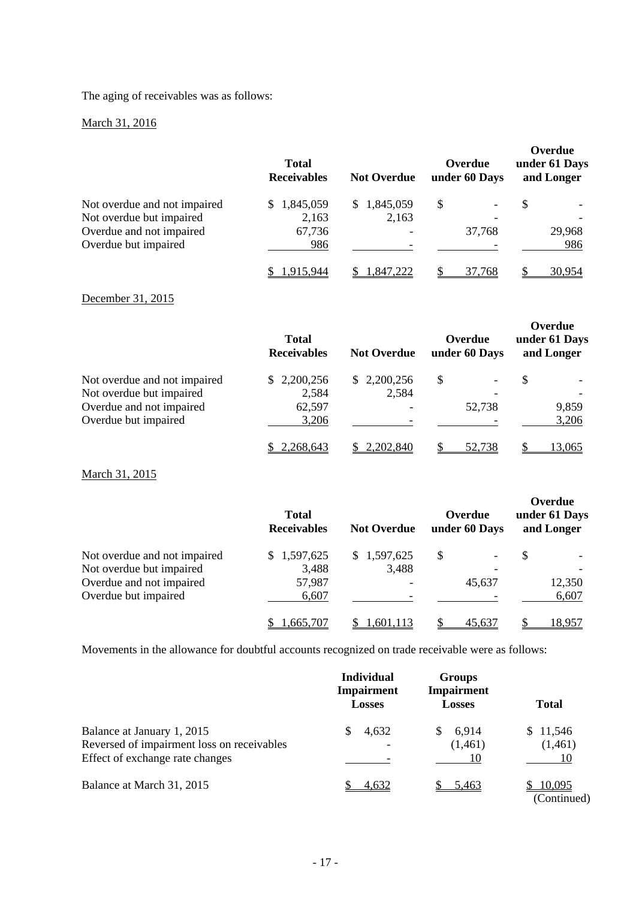The aging of receivables was as follows:

## March 31, 2016

|                              | <b>Total</b><br><b>Receivables</b> | <b>Not Overdue</b> | Overdue<br>under 60 Days | Overdue<br>under 61 Days<br>and Longer |
|------------------------------|------------------------------------|--------------------|--------------------------|----------------------------------------|
| Not overdue and not impaired | \$1,845,059                        | 1,845,059<br>S.    | \$                       | S                                      |
| Not overdue but impaired     | 2,163                              | 2,163              |                          |                                        |
| Overdue and not impaired     | 67,736                             |                    | 37,768                   | 29,968                                 |
| Overdue but impaired         | 986                                |                    |                          | 986                                    |
|                              |                                    | .847,222           | 37.768                   | 30.954                                 |

## December 31, 2015

|                              | <b>Total</b><br><b>Receivables</b> | <b>Not Overdue</b> | Overdue<br>under 60 Days | Overdue<br>under 61 Days<br>and Longer |
|------------------------------|------------------------------------|--------------------|--------------------------|----------------------------------------|
| Not overdue and not impaired | \$2,200,256                        | \$2,200,256        | S                        | \$                                     |
| Not overdue but impaired     | 2,584                              | 2,584              |                          |                                        |
| Overdue and not impaired     | 62,597                             |                    | 52,738                   | 9,859                                  |
| Overdue but impaired         | 3,206                              |                    |                          | 3,206                                  |
|                              | \$2,268,643                        | 2,202,840          | 52,738                   | 13,065                                 |

March 31, 2015

|                              | <b>Total</b><br><b>Receivables</b> | <b>Not Overdue</b> | Overdue<br>under 60 Days | Overdue<br>under 61 Days<br>and Longer |
|------------------------------|------------------------------------|--------------------|--------------------------|----------------------------------------|
| Not overdue and not impaired | \$1,597,625                        | \$1,597,625        | S                        | S                                      |
| Not overdue but impaired     | 3,488                              | 3,488              |                          |                                        |
| Overdue and not impaired     | 57,987                             |                    | 45,637                   | 12,350                                 |
| Overdue but impaired         | 6,607                              |                    |                          | 6,607                                  |
|                              | .665.707                           | .601.113           | 45.637                   | 18.957                                 |

Movements in the allowance for doubtful accounts recognized on trade receivable were as follows:

|                                                                                                             | <b>Individual</b><br><b>Impairment</b><br><b>Losses</b> | <b>Groups</b><br>Impairment<br><b>Losses</b> | <b>Total</b>                                   |
|-------------------------------------------------------------------------------------------------------------|---------------------------------------------------------|----------------------------------------------|------------------------------------------------|
| Balance at January 1, 2015<br>Reversed of impairment loss on receivables<br>Effect of exchange rate changes | 4,632<br>S                                              | 6,914<br>S.<br>(1,461)                       | \$11,546<br>(1,461)<br>10                      |
| Balance at March 31, 2015                                                                                   | <u>4,632</u>                                            | 5,463                                        | 10,095<br>$(C_{\alpha}$ is the set of $\Gamma$ |

(Continued)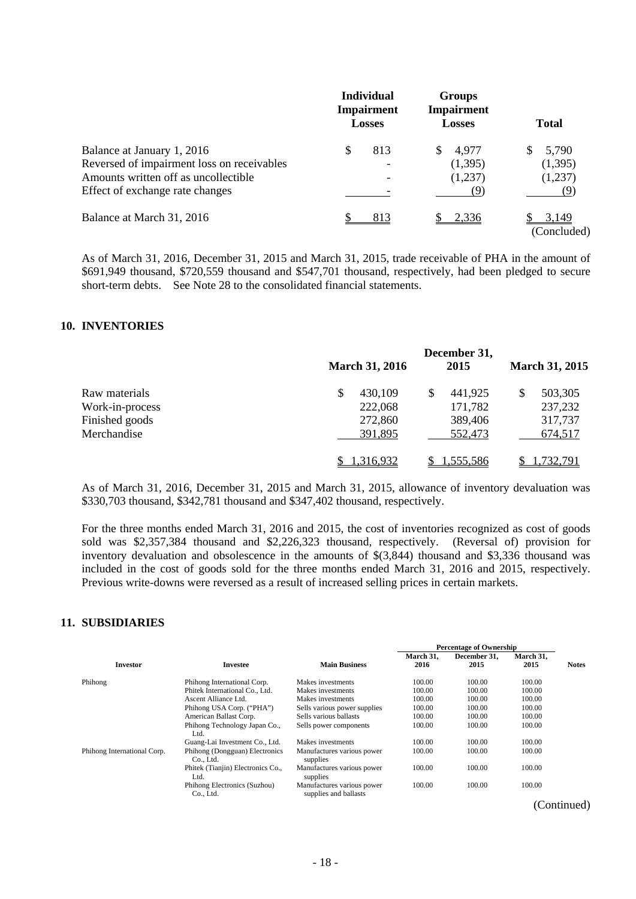|                                                                                                                                                     | <b>Individual</b><br><b>Impairment</b><br><b>Losses</b> | <b>Groups</b><br><b>Impairment</b><br><b>Losses</b> | <b>Total</b>                       |
|-----------------------------------------------------------------------------------------------------------------------------------------------------|---------------------------------------------------------|-----------------------------------------------------|------------------------------------|
| Balance at January 1, 2016<br>Reversed of impairment loss on receivables<br>Amounts written off as uncollectible<br>Effect of exchange rate changes | 813<br>\$                                               | 4,977<br>\$.<br>(1,395)<br>(1,237)<br>(Q)           | 5,790<br>\$.<br>(1,395)<br>(1,237) |
| Balance at March 31, 2016                                                                                                                           | 813                                                     | 2,336                                               | <u>3,149</u><br>(Concluded)        |

As of March 31, 2016, December 31, 2015 and March 31, 2015, trade receivable of PHA in the amount of \$691,949 thousand, \$720,559 thousand and \$547,701 thousand, respectively, had been pledged to secure short-term debts. See Note 28 to the consolidated financial statements.

## **10. INVENTORIES**

|                 | <b>March 31, 2016</b> | December 31,<br>2015 | <b>March 31, 2015</b> |
|-----------------|-----------------------|----------------------|-----------------------|
| Raw materials   | \$<br>430,109         | 441,925<br>S         | 503,305               |
| Work-in-process | 222,068               | 171,782              | 237,232               |
| Finished goods  | 272,860               | 389,406              | 317,737               |
| Merchandise     | 391,895               | 552,473              | 674,517               |
|                 | .316.932              | <u>1,555,586</u>     | '32.791               |

As of March 31, 2016, December 31, 2015 and March 31, 2015, allowance of inventory devaluation was \$330,703 thousand, \$342,781 thousand and \$347,402 thousand, respectively.

For the three months ended March 31, 2016 and 2015, the cost of inventories recognized as cost of goods sold was \$2,357,384 thousand and \$2,226,323 thousand, respectively. (Reversal of) provision for inventory devaluation and obsolescence in the amounts of \$(3,844) thousand and \$3,336 thousand was included in the cost of goods sold for the three months ended March 31, 2016 and 2015, respectively. Previous write-downs were reversed as a result of increased selling prices in certain markets.

#### **11. SUBSIDIARIES**

|                             |                                             |                                                     |                   | <b>Percentage of Ownership</b> |                   |              |
|-----------------------------|---------------------------------------------|-----------------------------------------------------|-------------------|--------------------------------|-------------------|--------------|
| <b>Investor</b>             | Investee                                    | <b>Main Business</b>                                | March 31,<br>2016 | December 31,<br>2015           | March 31,<br>2015 | <b>Notes</b> |
| Phihong                     | Phihong International Corp.                 | Makes investments                                   | 100.00            | 100.00                         | 100.00            |              |
|                             | Phitek International Co., Ltd.              | Makes investments                                   | 100.00            | 100.00                         | 100.00            |              |
|                             | Ascent Alliance Ltd.                        | Makes investments                                   | 100.00            | 100.00                         | 100.00            |              |
|                             | Phihong USA Corp. ("PHA")                   | Sells various power supplies                        | 100.00            | 100.00                         | 100.00            |              |
|                             | American Ballast Corp.                      | Sells various ballasts                              | 100.00            | 100.00                         | 100.00            |              |
|                             | Phihong Technology Japan Co.,<br>Ltd.       | Sells power components                              | 100.00            | 100.00                         | 100.00            |              |
|                             | Guang-Lai Investment Co., Ltd.              | Makes investments                                   | 100.00            | 100.00                         | 100.00            |              |
| Phihong International Corp. | Phihong (Dongguan) Electronics<br>Co., Ltd. | Manufactures various power<br>supplies              | 100.00            | 100.00                         | 100.00            |              |
|                             | Phitek (Tianjin) Electronics Co.,<br>Ltd.   | Manufactures various power<br>supplies              | 100.00            | 100.00                         | 100.00            |              |
|                             | Phihong Electronics (Suzhou)<br>Co., Ltd.   | Manufactures various power<br>supplies and ballasts | 100.00            | 100.00                         | 100.00            |              |

(Continued)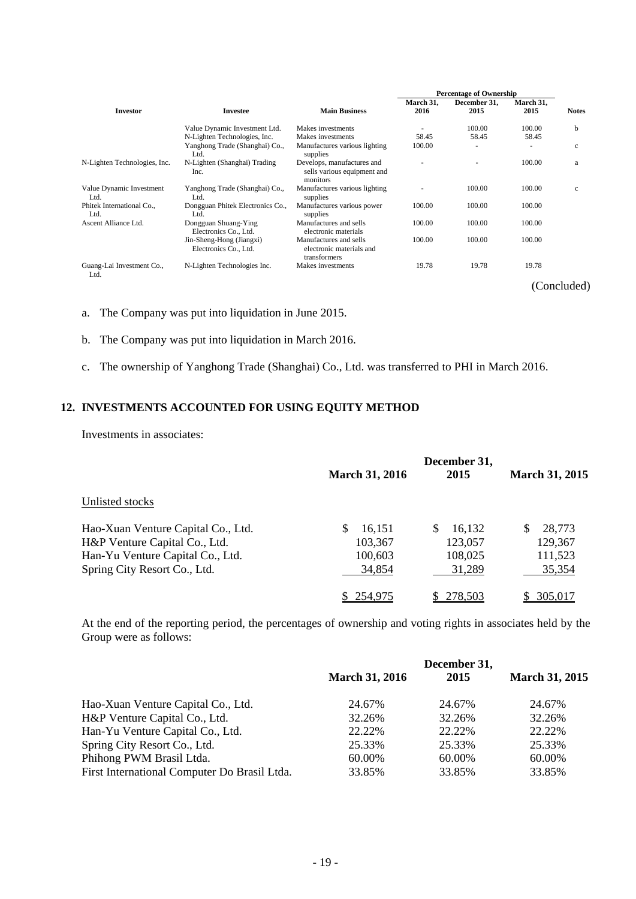|                                   |                                                   |                                                                       |                   | <b>Percentage of Ownership</b> |                   |              |
|-----------------------------------|---------------------------------------------------|-----------------------------------------------------------------------|-------------------|--------------------------------|-------------------|--------------|
| <b>Investor</b>                   | <b>Investee</b>                                   | <b>Main Business</b>                                                  | March 31,<br>2016 | December 31.<br>2015           | March 31,<br>2015 | <b>Notes</b> |
|                                   | Value Dynamic Investment Ltd.                     | Makes investments                                                     |                   | 100.00                         | 100.00            | b            |
|                                   | N-Lighten Technologies, Inc.                      | Makes investments                                                     | 58.45             | 58.45                          | 58.45             |              |
|                                   | Yanghong Trade (Shanghai) Co.,<br>Ltd.            | Manufactures various lighting<br>supplies                             | 100.00            |                                |                   | $\mathbf c$  |
| N-Lighten Technologies, Inc.      | N-Lighten (Shanghai) Trading<br>Inc.              | Develops, manufactures and<br>sells various equipment and<br>monitors |                   |                                | 100.00            | a            |
| Value Dynamic Investment<br>Ltd.  | Yanghong Trade (Shanghai) Co.,<br>Ltd.            | Manufactures various lighting<br>supplies                             |                   | 100.00                         | 100.00            | $\mathbf c$  |
| Phitek International Co.,<br>Ltd. | Dongguan Phitek Electronics Co.,<br>Ltd.          | Manufactures various power<br>supplies                                | 100.00            | 100.00                         | 100.00            |              |
| Ascent Alliance Ltd.              | Dongguan Shuang-Ying<br>Electronics Co., Ltd.     | Manufactures and sells<br>electronic materials                        | 100.00            | 100.00                         | 100.00            |              |
|                                   | Jin-Sheng-Hong (Jiangxi)<br>Electronics Co., Ltd. | Manufactures and sells<br>electronic materials and<br>transformers    | 100.00            | 100.00                         | 100.00            |              |
| Guang-Lai Investment Co.,<br>Ltd. | N-Lighten Technologies Inc.                       | Makes investments                                                     | 19.78             | 19.78                          | 19.78             |              |
|                                   |                                                   |                                                                       |                   |                                |                   | (Concluded)  |

a. The Company was put into liquidation in June 2015.

- b. The Company was put into liquidation in March 2016.
- c. The ownership of Yanghong Trade (Shanghai) Co., Ltd. was transferred to PHI in March 2016.

## **12. INVESTMENTS ACCOUNTED FOR USING EQUITY METHOD**

Investments in associates:

|                                    | <b>March 31, 2016</b> | December 31,<br>2015 | <b>March 31, 2015</b> |
|------------------------------------|-----------------------|----------------------|-----------------------|
| Unlisted stocks                    |                       |                      |                       |
| Hao-Xuan Venture Capital Co., Ltd. | 16,151<br>S           | 16,132<br>\$.        | 28,773<br>S           |
| H&P Venture Capital Co., Ltd.      | 103,367               | 123,057              | 129,367               |
| Han-Yu Venture Capital Co., Ltd.   | 100,603               | 108,025              | 111,523               |
| Spring City Resort Co., Ltd.       | 34,854                | 31,289               | 35,354                |
|                                    | 254.975               | 278,503              | 305,017               |

At the end of the reporting period, the percentages of ownership and voting rights in associates held by the Group were as follows:

|                                              |                       | December 31, |                       |
|----------------------------------------------|-----------------------|--------------|-----------------------|
|                                              | <b>March 31, 2016</b> | 2015         | <b>March 31, 2015</b> |
| Hao-Xuan Venture Capital Co., Ltd.           | 24.67%                | 24.67%       | 24.67%                |
| H&P Venture Capital Co., Ltd.                | 32.26%                | 32.26%       | 32.26%                |
| Han-Yu Venture Capital Co., Ltd.             | 22.22%                | 22.22%       | 22.22\%               |
| Spring City Resort Co., Ltd.                 | 25.33%                | 25.33%       | 25.33%                |
| Phihong PWM Brasil Ltda.                     | 60.00%                | 60.00%       | 60.00%                |
| First International Computer Do Brasil Ltda. | 33.85%                | 33.85%       | 33.85%                |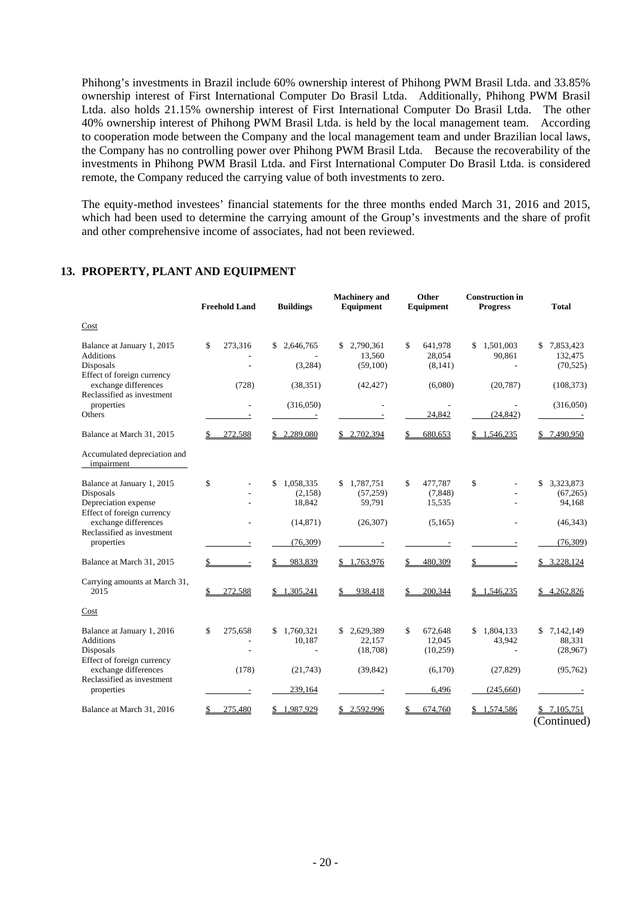Phihong's investments in Brazil include 60% ownership interest of Phihong PWM Brasil Ltda. and 33.85% ownership interest of First International Computer Do Brasil Ltda. Additionally, Phihong PWM Brasil Ltda. also holds 21.15% ownership interest of First International Computer Do Brasil Ltda. The other 40% ownership interest of Phihong PWM Brasil Ltda. is held by the local management team. According to cooperation mode between the Company and the local management team and under Brazilian local laws, the Company has no controlling power over Phihong PWM Brasil Ltda. Because the recoverability of the investments in Phihong PWM Brasil Ltda. and First International Computer Do Brasil Ltda. is considered remote, the Company reduced the carrying value of both investments to zero.

The equity-method investees' financial statements for the three months ended March 31, 2016 and 2015, which had been used to determine the carrying amount of the Group's investments and the share of profit and other comprehensive income of associates, had not been reviewed.

|                                                                                               | <b>Freehold Land</b>     | <b>Buildings</b>                     | <b>Machinery</b> and<br>Equipment      | Other<br>Equipment                   | <b>Construction</b> in<br><b>Progress</b> | <b>Total</b>                           |
|-----------------------------------------------------------------------------------------------|--------------------------|--------------------------------------|----------------------------------------|--------------------------------------|-------------------------------------------|----------------------------------------|
| Cost                                                                                          |                          |                                      |                                        |                                      |                                           |                                        |
| Balance at January 1, 2015<br><b>Additions</b>                                                | \$<br>273,316            | 2.646.765<br>\$                      | 2,790,361<br>\$.<br>13,560             | \$<br>641,978<br>28,054              | \$1,501,003<br>90,861                     | \$7,853,423<br>132,475                 |
| Disposals<br>Effect of foreign currency<br>exchange differences                               | (728)                    | (3,284)<br>(38, 351)                 | (59,100)<br>(42, 427)                  | (8,141)<br>(6,080)                   | $\overline{a}$<br>(20, 787)               | (70, 525)<br>(108, 373)                |
| Reclassified as investment<br>properties<br>Others                                            |                          | (316,050)                            |                                        | 24,842                               | (24, 842)                                 | (316,050)                              |
| Balance at March 31, 2015                                                                     | 272,588                  | 2,289,080                            | \$2,702,394                            | 680,653                              | 1,546,235                                 | 7,490,950                              |
| Accumulated depreciation and<br>impairment                                                    |                          |                                      |                                        |                                      |                                           |                                        |
| Balance at January 1, 2015<br>Disposals<br>Depreciation expense<br>Effect of foreign currency | \$                       | \$<br>1,058,335<br>(2,158)<br>18,842 | 1,787,751<br>\$<br>(57, 259)<br>59,791 | \$<br>477,787<br>(7, 848)<br>15,535  | \$                                        | \$<br>3,323,873<br>(67, 265)<br>94,168 |
| exchange differences<br>Reclassified as investment                                            |                          | (14, 871)                            | (26, 307)                              | (5,165)                              |                                           | (46, 343)                              |
| properties                                                                                    |                          | (76,309)                             |                                        |                                      |                                           | (76,309)                               |
| Balance at March 31, 2015                                                                     |                          | 983,839                              | \$1,763,976                            | 480,309                              |                                           | 3,228,124<br>\$                        |
| Carrying amounts at March 31,<br>2015                                                         | 272,588                  | \$1,305,241                          | 938,418                                | 200,344                              | \$1,546,235                               | 4,262,826                              |
| Cost                                                                                          |                          |                                      |                                        |                                      |                                           |                                        |
| Balance at January 1, 2016<br><b>Additions</b><br>Disposals<br>Effect of foreign currency     | \$<br>275,658            | 1,760,321<br>\$<br>10,187            | 2,629,389<br>\$.<br>22,157<br>(18,708) | \$<br>672,648<br>12,045<br>(10, 259) | 1,804,133<br>\$<br>43,942                 | \$<br>7,142,149<br>88,331<br>(28,967)  |
| exchange differences<br>Reclassified as investment                                            | (178)                    | (21,743)                             | (39, 842)                              | (6,170)                              | (27, 829)                                 | (95, 762)                              |
| properties                                                                                    | $\overline{\phantom{a}}$ | 239,164                              |                                        | 6,496                                | (245,660)                                 |                                        |
| Balance at March 31, 2016                                                                     | 275,480                  | .987,929                             | 2.592.996                              | 674,760                              | 1,574,586                                 | \$7,105,751<br>(Continued)             |

## **13. PROPERTY, PLANT AND EQUIPMENT**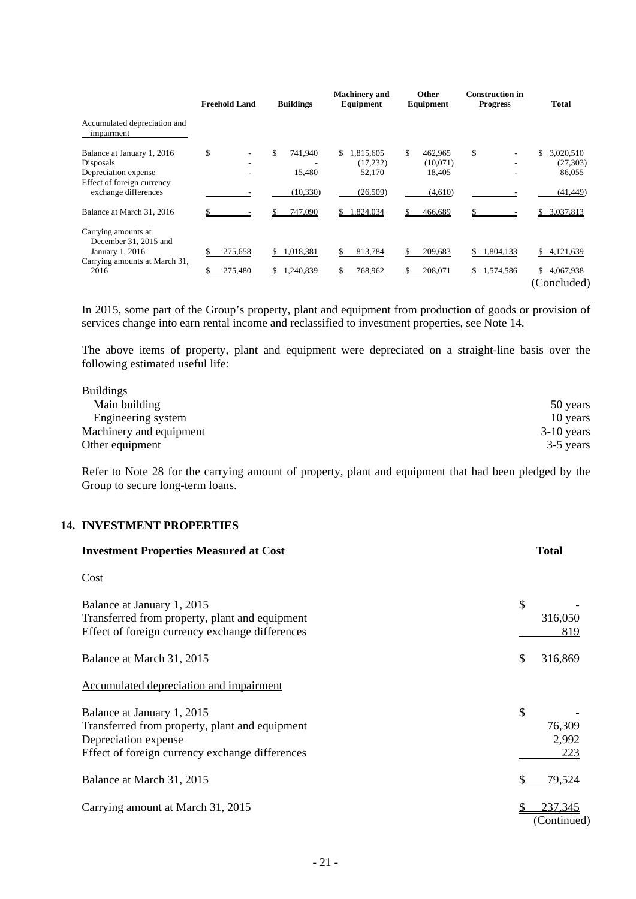|                                                                                               | <b>Freehold Land</b> | <b>Buildings</b>        | <b>Machinery</b> and<br>Equipment      | Other<br>Equipment                  | <b>Construction in</b><br><b>Progress</b> | <b>Total</b>                           |
|-----------------------------------------------------------------------------------------------|----------------------|-------------------------|----------------------------------------|-------------------------------------|-------------------------------------------|----------------------------------------|
| Accumulated depreciation and<br>impairment                                                    |                      |                         |                                        |                                     |                                           |                                        |
| Balance at January 1, 2016<br>Disposals<br>Depreciation expense<br>Effect of foreign currency | \$                   | \$<br>741,940<br>15,480 | 1,815,605<br>\$<br>(17, 232)<br>52,170 | 462.965<br>S.<br>(10,071)<br>18,405 | \$                                        | \$<br>3,020,510<br>(27, 303)<br>86,055 |
| exchange differences                                                                          |                      | (10, 330)               | (26, 509)                              | (4,610)                             |                                           | (41, 449)                              |
| Balance at March 31, 2016                                                                     |                      | 747.090                 | 1.824.034                              | 466.689                             |                                           | 3,037,813                              |
| Carrying amounts at<br>December 31, 2015 and<br>January 1, 2016                               | 275,658              | 1,018,381<br>\$         | 813,784<br>\$                          | 209,683                             | 1,804,133                                 | \$<br>4,121,639                        |
| Carrying amounts at March 31,<br>2016                                                         | 275,480              | 1,240,839               | 768,962<br>S.                          | 208,071                             | 1,574,586<br>S.                           | 4,067,938<br>S.<br>(Concluded)         |

In 2015, some part of the Group's property, plant and equipment from production of goods or provision of services change into earn rental income and reclassified to investment properties, see Note 14.

The above items of property, plant and equipment were depreciated on a straight-line basis over the following estimated useful life:

| <b>Buildings</b>        |              |
|-------------------------|--------------|
| Main building           | 50 years     |
| Engineering system      | 10 years     |
| Machinery and equipment | $3-10$ years |
| Other equipment         | 3-5 years    |

Refer to Note 28 for the carrying amount of property, plant and equipment that had been pledged by the Group to secure long-term loans.

## **14. INVESTMENT PROPERTIES**

| <b>Investment Properties Measured at Cost</b>                                                                                                           | <b>Total</b>                    |
|---------------------------------------------------------------------------------------------------------------------------------------------------------|---------------------------------|
| Cost                                                                                                                                                    |                                 |
| Balance at January 1, 2015<br>Transferred from property, plant and equipment<br>Effect of foreign currency exchange differences                         | $\mathcal{S}$<br>316,050<br>819 |
| Balance at March 31, 2015                                                                                                                               | 316,869                         |
| Accumulated depreciation and impairment                                                                                                                 |                                 |
| Balance at January 1, 2015<br>Transferred from property, plant and equipment<br>Depreciation expense<br>Effect of foreign currency exchange differences | \$<br>76,309<br>2,992<br>223    |
| Balance at March 31, 2015                                                                                                                               | 79,524                          |
| Carrying amount at March 31, 2015                                                                                                                       | 237,345<br>(Continued)          |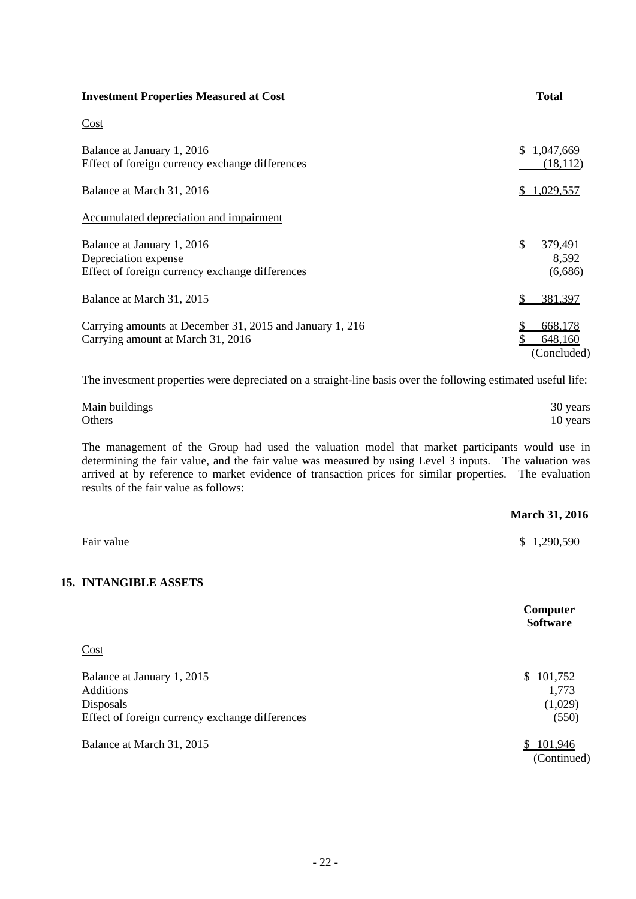| <b>Investment Properties Measured at Cost</b>                                                         | <b>Total</b>                      |
|-------------------------------------------------------------------------------------------------------|-----------------------------------|
| Cost                                                                                                  |                                   |
| Balance at January 1, 2016<br>Effect of foreign currency exchange differences                         | \$.<br>1,047,669<br>(18, 112)     |
| Balance at March 31, 2016                                                                             | 1,029,557                         |
| Accumulated depreciation and impairment                                                               |                                   |
| Balance at January 1, 2016<br>Depreciation expense<br>Effect of foreign currency exchange differences | \$<br>379,491<br>8,592<br>(6,686) |
| Balance at March 31, 2015                                                                             | 381,397<br>S                      |
| Carrying amounts at December 31, 2015 and January 1, 216<br>Carrying amount at March 31, 2016         | 668,178<br>648,160<br>(Concluded) |

The investment properties were depreciated on a straight-line basis over the following estimated useful life:

| Main buildings | 30 years |
|----------------|----------|
| Others         | 10 years |

The management of the Group had used the valuation model that market participants would use in determining the fair value, and the fair value was measured by using Level 3 inputs. The valuation was arrived at by reference to market evidence of transaction prices for similar properties. The evaluation was results of the fair value as follows:

|                                                                                                                | <b>March 31, 2016</b>                  |
|----------------------------------------------------------------------------------------------------------------|----------------------------------------|
| Fair value                                                                                                     | 1,290,590<br>\$                        |
| <b>15. INTANGIBLE ASSETS</b>                                                                                   |                                        |
|                                                                                                                | Computer<br><b>Software</b>            |
| Cost                                                                                                           |                                        |
| Balance at January 1, 2015<br><b>Additions</b><br>Disposals<br>Effect of foreign currency exchange differences | \$101,752<br>1,773<br>(1,029)<br>(550) |
| Balance at March 31, 2015                                                                                      | 101,946<br>\$<br>(Continued)           |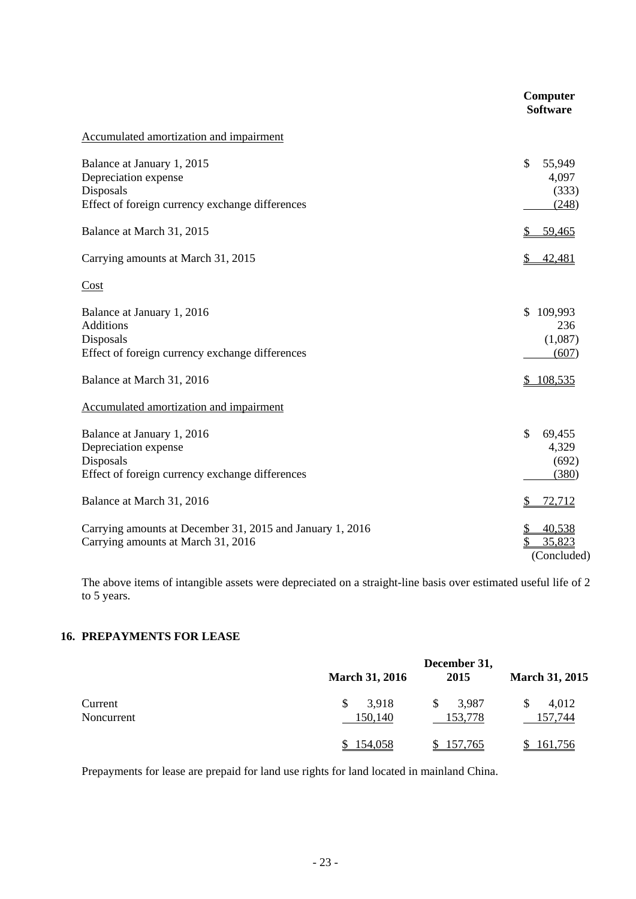|                                                                                                                    | Computer<br><b>Software</b>                       |
|--------------------------------------------------------------------------------------------------------------------|---------------------------------------------------|
| Accumulated amortization and impairment                                                                            |                                                   |
| Balance at January 1, 2015<br>Depreciation expense<br>Disposals<br>Effect of foreign currency exchange differences | $\mathbb{S}$<br>55,949<br>4,097<br>(333)<br>(248) |
| Balance at March 31, 2015                                                                                          | 59,465                                            |
| Carrying amounts at March 31, 2015                                                                                 | 42,481<br>\$                                      |
| Cost                                                                                                               |                                                   |
| Balance at January 1, 2016<br><b>Additions</b><br>Disposals<br>Effect of foreign currency exchange differences     | \$109,993<br>236<br>(1,087)<br>(607)              |
| Balance at March 31, 2016                                                                                          | \$108,535                                         |
| Accumulated amortization and impairment                                                                            |                                                   |
| Balance at January 1, 2016<br>Depreciation expense<br>Disposals<br>Effect of foreign currency exchange differences | \$<br>69,455<br>4,329<br>(692)<br>(380)           |
| Balance at March 31, 2016                                                                                          | 72,712<br>\$                                      |
| Carrying amounts at December 31, 2015 and January 1, 2016<br>Carrying amounts at March 31, 2016                    | 40,538<br>$\frac{1}{2}$<br>35,823<br>(Concluded)  |

The above items of intangible assets were depreciated on a straight-line basis over estimated useful life of 2 to 5 years.

## **16. PREPAYMENTS FOR LEASE**

|                       |                       | December 31,           |                       |
|-----------------------|-----------------------|------------------------|-----------------------|
|                       | <b>March 31, 2016</b> | 2015                   | <b>March 31, 2015</b> |
| Current<br>Noncurrent | 3,918<br>150,140      | 3,987<br>\$<br>153,778 | 4,012<br>157,744      |
|                       | 154,058               | 157,765                | 161,756               |

Prepayments for lease are prepaid for land use rights for land located in mainland China.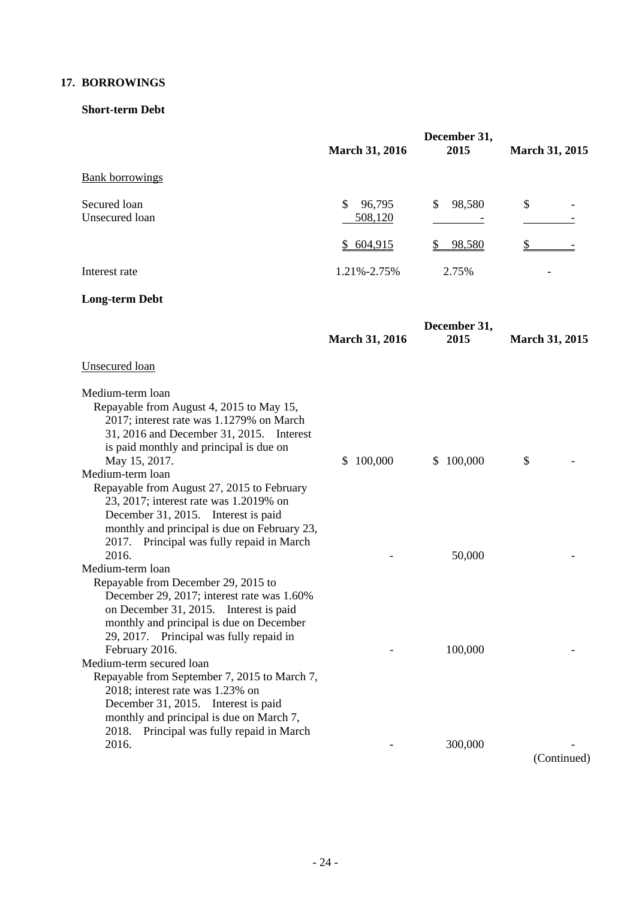## **17. BORROWINGS**

## **Short-term Debt**

|                                                                                                                                                                                                                                                                                                                                                                                                                                                                                         | <b>March 31, 2016</b>    | December 31,<br>2015 | <b>March 31, 2015</b> |
|-----------------------------------------------------------------------------------------------------------------------------------------------------------------------------------------------------------------------------------------------------------------------------------------------------------------------------------------------------------------------------------------------------------------------------------------------------------------------------------------|--------------------------|----------------------|-----------------------|
| <b>Bank borrowings</b>                                                                                                                                                                                                                                                                                                                                                                                                                                                                  |                          |                      |                       |
| Secured loan<br>Unsecured loan                                                                                                                                                                                                                                                                                                                                                                                                                                                          | 96,795<br>\$.<br>508,120 | \$<br>98,580         | \$                    |
|                                                                                                                                                                                                                                                                                                                                                                                                                                                                                         | \$604,915                | 98,580               |                       |
| Interest rate                                                                                                                                                                                                                                                                                                                                                                                                                                                                           | 1.21%-2.75%              | 2.75%                |                       |
| <b>Long-term Debt</b>                                                                                                                                                                                                                                                                                                                                                                                                                                                                   |                          |                      |                       |
|                                                                                                                                                                                                                                                                                                                                                                                                                                                                                         | <b>March 31, 2016</b>    | December 31,<br>2015 | <b>March 31, 2015</b> |
| Unsecured loan                                                                                                                                                                                                                                                                                                                                                                                                                                                                          |                          |                      |                       |
| Medium-term loan<br>Repayable from August 4, 2015 to May 15,<br>2017; interest rate was 1.1279% on March<br>31, 2016 and December 31, 2015. Interest<br>is paid monthly and principal is due on<br>May 15, 2017.<br>Medium-term loan<br>Repayable from August 27, 2015 to February<br>23, 2017; interest rate was 1.2019% on<br>December 31, 2015. Interest is paid<br>monthly and principal is due on February 23,<br>Principal was fully repaid in March<br>2017.                     | 100,000<br>\$.           | \$100,000            | \$                    |
| 2016.<br>Medium-term loan                                                                                                                                                                                                                                                                                                                                                                                                                                                               |                          | 50,000               |                       |
| Repayable from December 29, 2015 to<br>December 29, 2017; interest rate was 1.60%<br>on December 31, 2015. Interest is paid<br>monthly and principal is due on December<br>29, 2017. Principal was fully repaid in<br>February 2016.<br>Medium-term secured loan<br>Repayable from September 7, 2015 to March 7,<br>2018; interest rate was 1.23% on<br>December 31, 2015. Interest is paid<br>monthly and principal is due on March 7,<br>Principal was fully repaid in March<br>2018. |                          | 100,000              |                       |
| 2016.                                                                                                                                                                                                                                                                                                                                                                                                                                                                                   |                          | 300,000              | (Continued)           |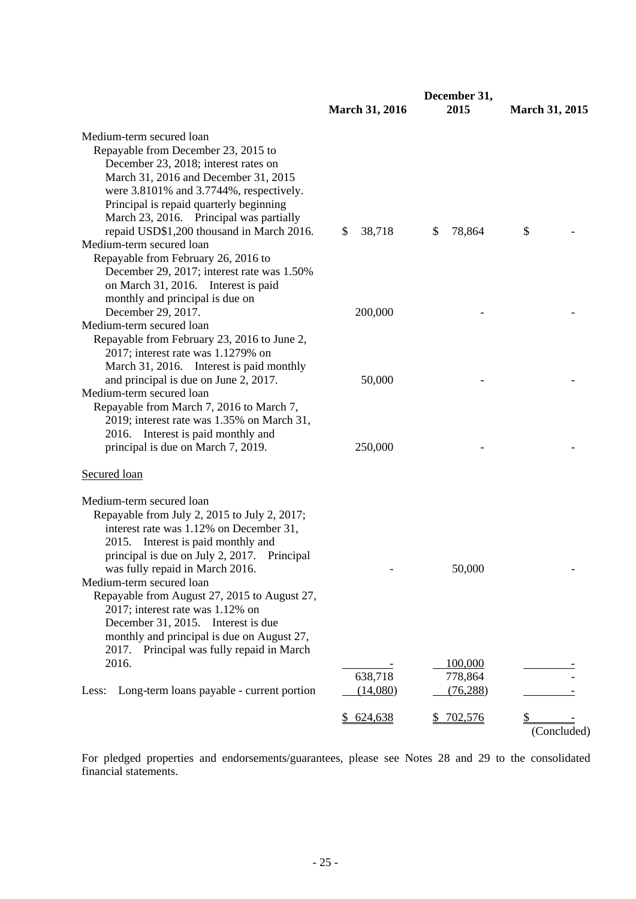|                                                                                                                                                                                                                                                                                                                                                                                                                                                                                                          | <b>March 31, 2016</b> | December 31,<br>2015 | <b>March 31, 2015</b> |
|----------------------------------------------------------------------------------------------------------------------------------------------------------------------------------------------------------------------------------------------------------------------------------------------------------------------------------------------------------------------------------------------------------------------------------------------------------------------------------------------------------|-----------------------|----------------------|-----------------------|
| Medium-term secured loan<br>Repayable from December 23, 2015 to<br>December 23, 2018; interest rates on<br>March 31, 2016 and December 31, 2015<br>were 3.8101% and 3.7744%, respectively.<br>Principal is repaid quarterly beginning<br>March 23, 2016. Principal was partially<br>repaid USD\$1,200 thousand in March 2016.<br>Medium-term secured loan<br>Repayable from February 26, 2016 to<br>December 29, 2017; interest rate was 1.50%                                                           | 38,718<br>\$          | \$<br>78,864         | \$                    |
| on March 31, 2016. Interest is paid<br>monthly and principal is due on<br>December 29, 2017.<br>Medium-term secured loan<br>Repayable from February 23, 2016 to June 2,                                                                                                                                                                                                                                                                                                                                  | 200,000               |                      |                       |
| 2017; interest rate was 1.1279% on<br>March 31, 2016. Interest is paid monthly<br>and principal is due on June 2, 2017.<br>Medium-term secured loan<br>Repayable from March 7, 2016 to March 7,                                                                                                                                                                                                                                                                                                          | 50,000                |                      |                       |
| 2019; interest rate was 1.35% on March 31,<br>2016. Interest is paid monthly and<br>principal is due on March 7, 2019.                                                                                                                                                                                                                                                                                                                                                                                   | 250,000               |                      |                       |
| <b>Secured</b> loan                                                                                                                                                                                                                                                                                                                                                                                                                                                                                      |                       |                      |                       |
| Medium-term secured loan<br>Repayable from July 2, 2015 to July 2, 2017;<br>interest rate was 1.12% on December 31,<br>2015. Interest is paid monthly and<br>principal is due on July 2, 2017. Principal<br>was fully repaid in March 2016.<br>Medium-term secured loan<br>Repayable from August 27, 2015 to August 27,<br>2017; interest rate was 1.12% on<br>December 31, 2015. Interest is due<br>monthly and principal is due on August 27,<br>Principal was fully repaid in March<br>2017.<br>2016. |                       | 50,000<br>100,000    |                       |
| Long-term loans payable - current portion<br>Less:                                                                                                                                                                                                                                                                                                                                                                                                                                                       | 638,718<br>(14,080)   | 778,864<br>(76, 288) |                       |
|                                                                                                                                                                                                                                                                                                                                                                                                                                                                                                          | \$624,638             | \$ 702,576           | (Concluded)           |

For pledged properties and endorsements/guarantees, please see Notes 28 and 29 to the consolidated financial statements.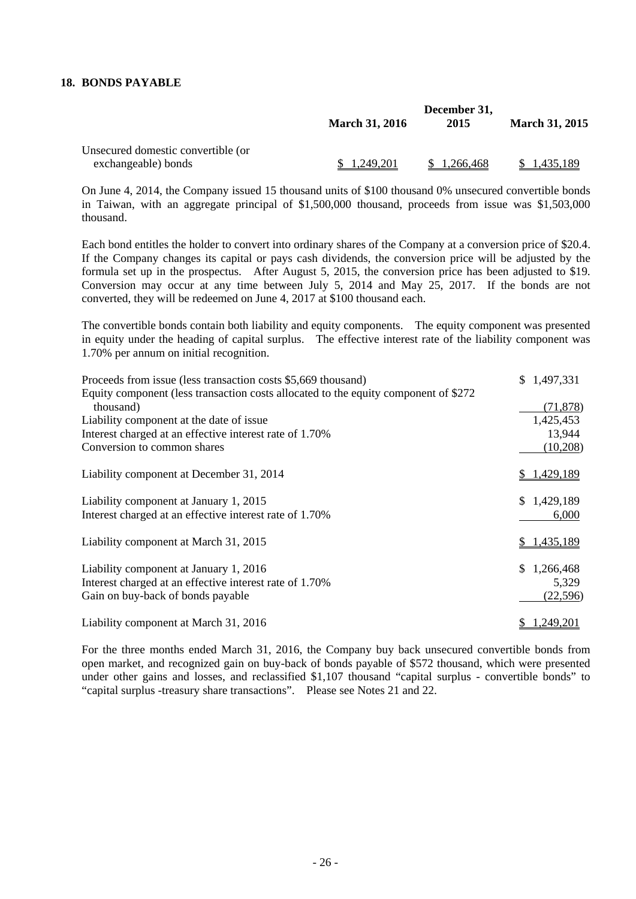## **18. BONDS PAYABLE**

|                                    | December 31,          |           |                       |
|------------------------------------|-----------------------|-----------|-----------------------|
|                                    | <b>March 31, 2016</b> | 2015      | <b>March 31, 2015</b> |
| Unsecured domestic convertible (or |                       |           |                       |
| exchangeable) bonds                | <u>.249,201</u>       | 1.266.468 | l <b>.</b> 435.189    |

On June 4, 2014, the Company issued 15 thousand units of \$100 thousand 0% unsecured convertible bonds in Taiwan, with an aggregate principal of \$1,500,000 thousand, proceeds from issue was \$1,503,000 thousand.

Each bond entitles the holder to convert into ordinary shares of the Company at a conversion price of \$20.4. If the Company changes its capital or pays cash dividends, the conversion price will be adjusted by the formula set up in the prospectus. After August 5, 2015, the conversion price has been adjusted to \$19. Conversion may occur at any time between July 5, 2014 and May 25, 2017. If the bonds are not converted, they will be redeemed on June 4, 2017 at \$100 thousand each.

The convertible bonds contain both liability and equity components. The equity component was presented in equity under the heading of capital surplus. The effective interest rate of the liability component was 1.70% per annum on initial recognition.

| Proceeds from issue (less transaction costs \$5,669 thousand)                       | \$1,497,331     |
|-------------------------------------------------------------------------------------|-----------------|
| Equity component (less transaction costs allocated to the equity component of \$272 |                 |
| thousand)                                                                           | (71, 878)       |
| Liability component at the date of issue.                                           | 1,425,453       |
| Interest charged at an effective interest rate of 1.70%                             | 13,944          |
| Conversion to common shares                                                         | (10,208)        |
| Liability component at December 31, 2014                                            | 1,429,189       |
| Liability component at January 1, 2015                                              | \$1,429,189     |
| Interest charged at an effective interest rate of 1.70%                             | 6,000           |
| Liability component at March 31, 2015                                               | \$1,435,189     |
| Liability component at January 1, 2016                                              | \$<br>1,266,468 |
| Interest charged at an effective interest rate of 1.70%                             | 5,329           |
| Gain on buy-back of bonds payable                                                   | (22,596)        |
| Liability component at March 31, 2016                                               | .249.201        |

For the three months ended March 31, 2016, the Company buy back unsecured convertible bonds from open market, and recognized gain on buy-back of bonds payable of \$572 thousand, which were presented under other gains and losses, and reclassified \$1,107 thousand "capital surplus - convertible bonds" to "capital surplus -treasury share transactions". Please see Notes 21 and 22.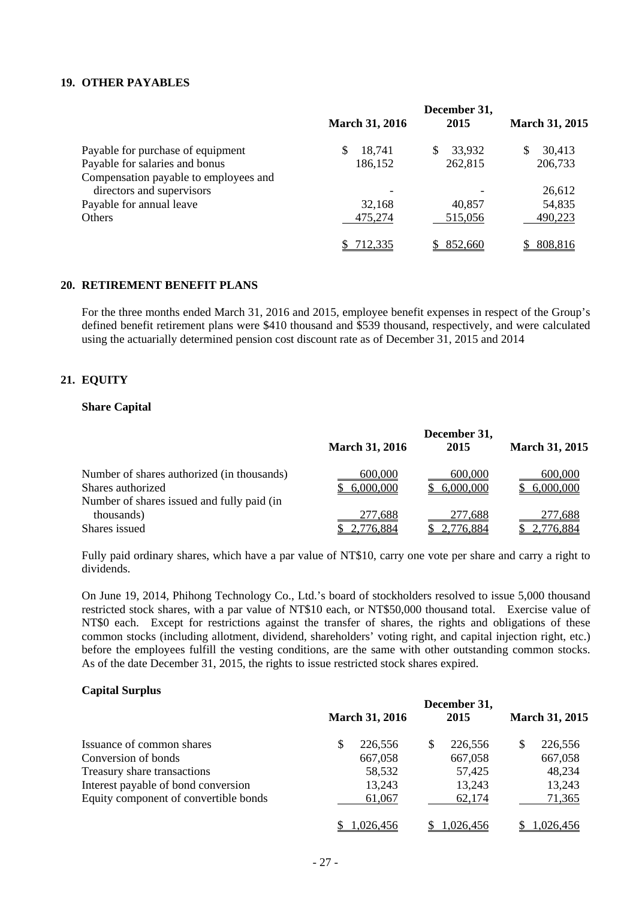## **19. OTHER PAYABLES**

|                                       | <b>March 31, 2016</b> | December 31,<br>2015 | <b>March 31, 2015</b> |
|---------------------------------------|-----------------------|----------------------|-----------------------|
| Payable for purchase of equipment     | 18,741                | 33,932<br>S          | 30,413<br>S           |
| Payable for salaries and bonus        | 186,152               | 262,815              | 206,733               |
| Compensation payable to employees and |                       |                      |                       |
| directors and supervisors             |                       |                      | 26,612                |
| Payable for annual leave              | 32,168                | 40,857               | 54,835                |
| Others                                | 475,274               | 515,056              | 490,223               |
|                                       | <u>712,335</u>        | 852,660              | 808,816               |

#### **20. RETIREMENT BENEFIT PLANS**

For the three months ended March 31, 2016 and 2015, employee benefit expenses in respect of the Group's defined benefit retirement plans were \$410 thousand and \$539 thousand, respectively, and were calculated using the actuarially determined pension cost discount rate as of December 31, 2015 and 2014

## **21. EQUITY**

## **Share Capital**

|                                                                                                               | <b>March 31, 2016</b> | December 31,<br>2015 | <b>March 31, 2015</b> |
|---------------------------------------------------------------------------------------------------------------|-----------------------|----------------------|-----------------------|
| Number of shares authorized (in thousands)<br>Shares authorized<br>Number of shares issued and fully paid (in | 600,000<br>6,000,000  | 600,000<br>6,000,000 | 600,000<br>6,000,000  |
| thousands)<br>Shares issued                                                                                   | 277,688<br>2,776,884  | 277,688<br>2,776,884 | 277,688<br>2,776,884  |

Fully paid ordinary shares, which have a par value of NT\$10, carry one vote per share and carry a right to dividends.

On June 19, 2014, Phihong Technology Co., Ltd.'s board of stockholders resolved to issue 5,000 thousand restricted stock shares, with a par value of NT\$10 each, or NT\$50,000 thousand total. Exercise value of NT\$0 each. Except for restrictions against the transfer of shares, the rights and obligations of these common stocks (including allotment, dividend, shareholders' voting right, and capital injection right, etc.) before the employees fulfill the vesting conditions, are the same with other outstanding common stocks. As of the date December 31, 2015, the rights to issue restricted stock shares expired.

## **Capital Surplus**

|                                       |                       |   | December 31, |                       |
|---------------------------------------|-----------------------|---|--------------|-----------------------|
|                                       | <b>March 31, 2016</b> |   | 2015         | <b>March 31, 2015</b> |
| Issuance of common shares             | \$<br>226,556         | S | 226,556      | 226,556               |
| Conversion of bonds                   | 667,058               |   | 667,058      | 667,058               |
| Treasury share transactions           | 58,532                |   | 57,425       | 48,234                |
| Interest payable of bond conversion   | 13,243                |   | 13,243       | 13,243                |
| Equity component of convertible bonds | 61,067                |   | 62,174       | 71,365                |
|                                       | .026.456              |   | 1.026.456    | 1.026.456             |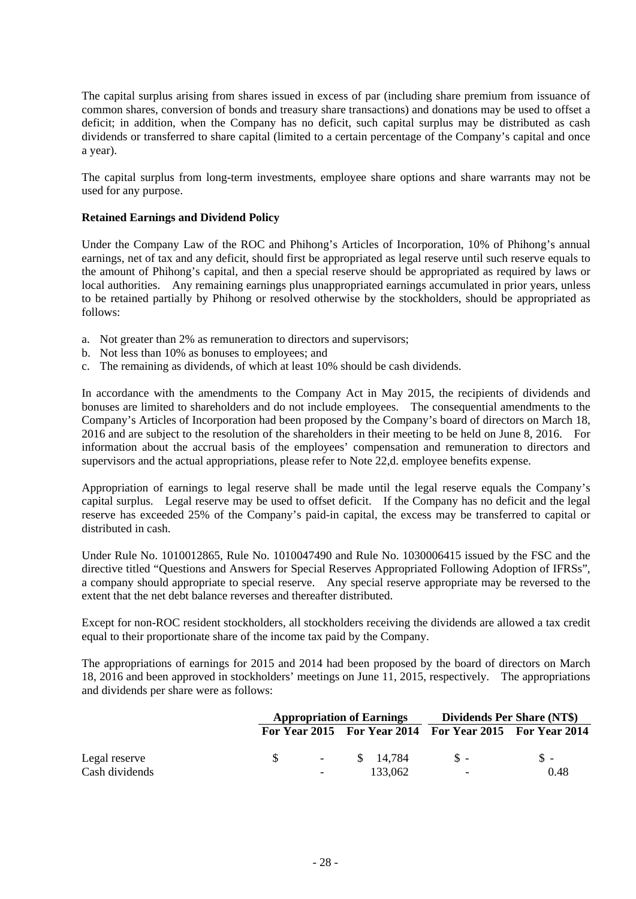The capital surplus arising from shares issued in excess of par (including share premium from issuance of common shares, conversion of bonds and treasury share transactions) and donations may be used to offset a deficit; in addition, when the Company has no deficit, such capital surplus may be distributed as cash dividends or transferred to share capital (limited to a certain percentage of the Company's capital and once a year).

The capital surplus from long-term investments, employee share options and share warrants may not be used for any purpose.

## **Retained Earnings and Dividend Policy**

Under the Company Law of the ROC and Phihong's Articles of Incorporation, 10% of Phihong's annual earnings, net of tax and any deficit, should first be appropriated as legal reserve until such reserve equals to the amount of Phihong's capital, and then a special reserve should be appropriated as required by laws or local authorities. Any remaining earnings plus unappropriated earnings accumulated in prior years, unless to be retained partially by Phihong or resolved otherwise by the stockholders, should be appropriated as follows:

- a. Not greater than 2% as remuneration to directors and supervisors;
- b. Not less than 10% as bonuses to employees; and
- c. The remaining as dividends, of which at least 10% should be cash dividends.

In accordance with the amendments to the Company Act in May 2015, the recipients of dividends and bonuses are limited to shareholders and do not include employees. The consequential amendments to the Company's Articles of Incorporation had been proposed by the Company's board of directors on March 18, 2016 and are subject to the resolution of the shareholders in their meeting to be held on June 8, 2016. For information about the accrual basis of the employees' compensation and remuneration to directors and supervisors and the actual appropriations, please refer to Note 22,d. employee benefits expense.

Appropriation of earnings to legal reserve shall be made until the legal reserve equals the Company's capital surplus. Legal reserve may be used to offset deficit. If the Company has no deficit and the legal reserve has exceeded 25% of the Company's paid-in capital, the excess may be transferred to capital or distributed in cash.

Under Rule No. 1010012865, Rule No. 1010047490 and Rule No. 1030006415 issued by the FSC and the directive titled "Questions and Answers for Special Reserves Appropriated Following Adoption of IFRSs", a company should appropriate to special reserve. Any special reserve appropriate may be reversed to the extent that the net debt balance reverses and thereafter distributed.

Except for non-ROC resident stockholders, all stockholders receiving the dividends are allowed a tax credit equal to their proportionate share of the income tax paid by the Company.

The appropriations of earnings for 2015 and 2014 had been proposed by the board of directors on March 18, 2016 and been approved in stockholders' meetings on June 11, 2015, respectively. The appropriations and dividends per share were as follows:

|                | <b>Appropriation of Earnings</b> |  | Dividends Per Share (NT\$) |                                                         |       |
|----------------|----------------------------------|--|----------------------------|---------------------------------------------------------|-------|
|                |                                  |  |                            | For Year 2015 For Year 2014 For Year 2015 For Year 2014 |       |
| Legal reserve  |                                  |  | $-$ \$ 14.784              | $S -$                                                   | $S -$ |
| Cash dividends | $\sim$                           |  | 133,062                    | $\overline{\phantom{a}}$                                | 0.48  |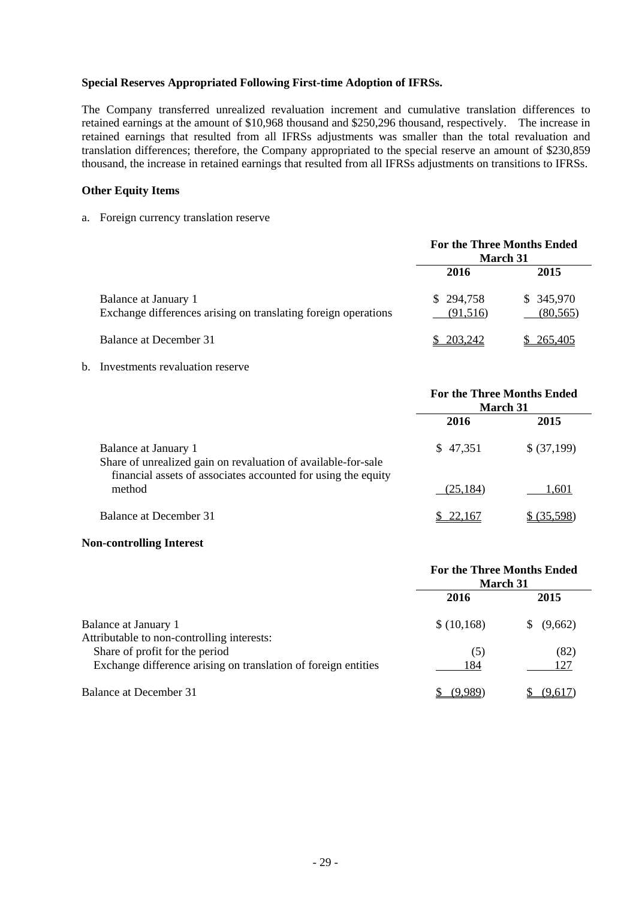## **Special Reserves Appropriated Following First-time Adoption of IFRSs.**

The Company transferred unrealized revaluation increment and cumulative translation differences to retained earnings at the amount of \$10,968 thousand and \$250,296 thousand, respectively. The increase in retained earnings that resulted from all IFRSs adjustments was smaller than the total revaluation and translation differences; therefore, the Company appropriated to the special reserve an amount of \$230,859 thousand, the increase in retained earnings that resulted from all IFRSs adjustments on transitions to IFRSs.

## **Other Equity Items**

a. Foreign currency translation reserve

|                                                                                        | <b>For the Three Months Ended</b><br><b>March 31</b> |                        |  |
|----------------------------------------------------------------------------------------|------------------------------------------------------|------------------------|--|
|                                                                                        | 2016                                                 | 2015                   |  |
| Balance at January 1<br>Exchange differences arising on translating foreign operations | \$294,758<br>(91,516)                                | \$345,970<br>(80, 565) |  |
| Balance at December 31                                                                 | \$ 203,242                                           | 265,405                |  |

## b. Investments revaluation reserve

|                                                                                                                                                        | <b>For the Three Months Ended</b><br><b>March 31</b> |             |  |
|--------------------------------------------------------------------------------------------------------------------------------------------------------|------------------------------------------------------|-------------|--|
|                                                                                                                                                        | 2016                                                 | 2015        |  |
| Balance at January 1<br>Share of unrealized gain on revaluation of available-for-sale<br>financial assets of associates accounted for using the equity | \$47,351                                             | \$ (37,199) |  |
| method                                                                                                                                                 | (25, 184)                                            | 1,601       |  |
| Balance at December 31                                                                                                                                 | 22.167                                               | (35.598)    |  |

#### **Non-controlling Interest**

|                                                                                                  | <b>For the Three Months Ended</b><br><b>March 31</b> |              |  |
|--------------------------------------------------------------------------------------------------|------------------------------------------------------|--------------|--|
|                                                                                                  | 2016                                                 | 2015         |  |
| Balance at January 1<br>Attributable to non-controlling interests:                               | \$(10,168)                                           | (9,662)<br>S |  |
| Share of profit for the period<br>Exchange difference arising on translation of foreign entities | (5)<br>184                                           | (82)<br>127  |  |
| Balance at December 31                                                                           |                                                      | (9.617       |  |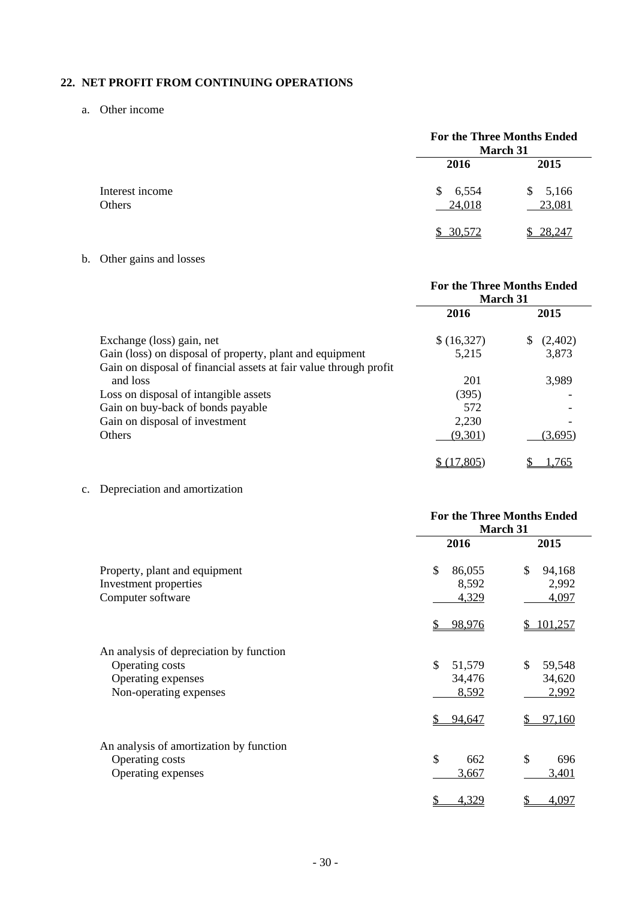## **22. NET PROFIT FROM CONTINUING OPERATIONS**

a. Other income

|                           |                       | <b>For the Three Months Ended</b><br>March 31 |  |  |
|---------------------------|-----------------------|-----------------------------------------------|--|--|
|                           | 2016                  | 2015                                          |  |  |
| Interest income<br>Others | 6,554<br>\$<br>24,018 | 5,166<br>\$<br>23,081                         |  |  |
|                           | 30,572                | 28.247                                        |  |  |

b. Other gains and losses

|                                                                   | <b>For the Three Months Ended</b><br>March 31 |              |
|-------------------------------------------------------------------|-----------------------------------------------|--------------|
|                                                                   | 2016                                          | 2015         |
| Exchange (loss) gain, net                                         | \$ (16,327)                                   | (2,402)<br>S |
| Gain (loss) on disposal of property, plant and equipment          | 5,215                                         | 3,873        |
| Gain on disposal of financial assets at fair value through profit |                                               |              |
| and loss                                                          | 201                                           | 3,989        |
| Loss on disposal of intangible assets                             | (395)                                         |              |
| Gain on buy-back of bonds payable                                 | 572                                           |              |
| Gain on disposal of investment                                    | 2,230                                         |              |
| <b>Others</b>                                                     | (9,301)                                       | (3,695)      |
|                                                                   |                                               | 765          |

c. Depreciation and amortization

|                                                                                                            | <b>For the Three Months Ended</b><br>March 31 |                                           |  |
|------------------------------------------------------------------------------------------------------------|-----------------------------------------------|-------------------------------------------|--|
|                                                                                                            | 2016                                          | 2015                                      |  |
| Property, plant and equipment<br>Investment properties<br>Computer software                                | \$<br>86,055<br>8,592<br>4,329                | \$<br>94,168<br>2,992<br>4,097            |  |
|                                                                                                            | 98,976                                        | 101,257                                   |  |
| An analysis of depreciation by function<br>Operating costs<br>Operating expenses<br>Non-operating expenses | \$<br>51,579<br>34,476<br>8,592<br>94,647     | \$<br>59,548<br>34,620<br>2,992<br>97,160 |  |
| An analysis of amortization by function<br>Operating costs<br>Operating expenses                           | \$<br>662<br>3,667<br>4,329<br><u>\$</u>      | \$<br>696<br>3,401<br>4,097<br>\$         |  |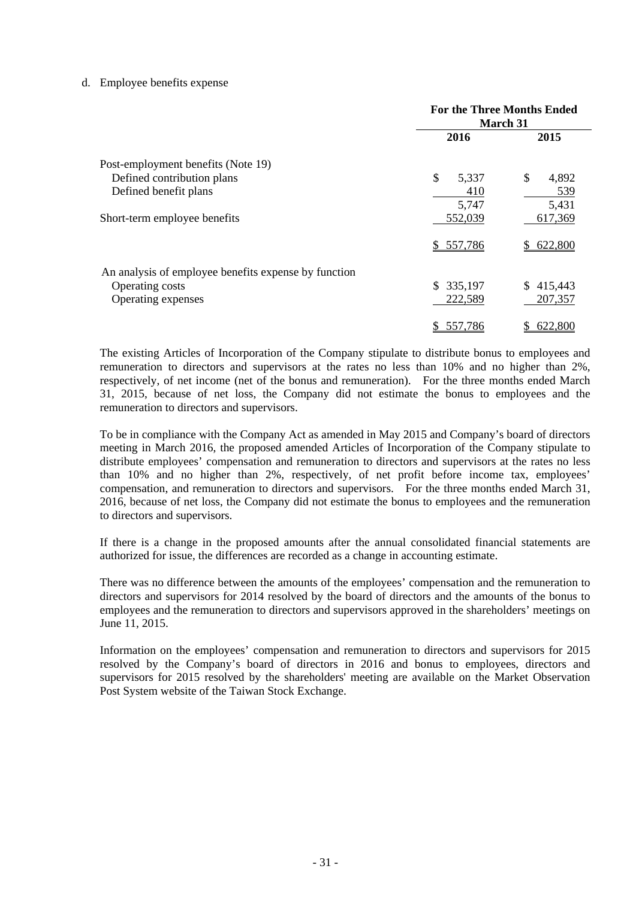### d. Employee benefits expense

|                                                      | <b>For the Three Months Ended</b><br><b>March 31</b> |               |  |
|------------------------------------------------------|------------------------------------------------------|---------------|--|
|                                                      | 2016                                                 | 2015          |  |
| Post-employment benefits (Note 19)                   |                                                      |               |  |
| Defined contribution plans                           | \$<br>5,337                                          | \$<br>4,892   |  |
| Defined benefit plans                                | 410                                                  | 539           |  |
|                                                      | 5,747                                                | 5,431         |  |
| Short-term employee benefits                         | 552,039                                              | 617,369       |  |
|                                                      | 557,786<br>S.                                        | 622,800<br>S. |  |
| An analysis of employee benefits expense by function |                                                      |               |  |
| Operating costs                                      | \$335,197                                            | \$415,443     |  |
| Operating expenses                                   | 222,589                                              | 207,357       |  |
|                                                      | 557,786<br>\$                                        | 622,800<br>\$ |  |

The existing Articles of Incorporation of the Company stipulate to distribute bonus to employees and remuneration to directors and supervisors at the rates no less than 10% and no higher than 2%, respectively, of net income (net of the bonus and remuneration). For the three months ended March 31, 2015, because of net loss, the Company did not estimate the bonus to employees and the remuneration to directors and supervisors.

To be in compliance with the Company Act as amended in May 2015 and Company's board of directors meeting in March 2016, the proposed amended Articles of Incorporation of the Company stipulate to distribute employees' compensation and remuneration to directors and supervisors at the rates no less than 10% and no higher than 2%, respectively, of net profit before income tax, employees' compensation, and remuneration to directors and supervisors. For the three months ended March 31, 2016, because of net loss, the Company did not estimate the bonus to employees and the remuneration to directors and supervisors.

If there is a change in the proposed amounts after the annual consolidated financial statements are authorized for issue, the differences are recorded as a change in accounting estimate.

There was no difference between the amounts of the employees' compensation and the remuneration to directors and supervisors for 2014 resolved by the board of directors and the amounts of the bonus to employees and the remuneration to directors and supervisors approved in the shareholders' meetings on June 11, 2015.

Information on the employees' compensation and remuneration to directors and supervisors for 2015 resolved by the Company's board of directors in 2016 and bonus to employees, directors and supervisors for 2015 resolved by the shareholders' meeting are available on the Market Observation Post System website of the Taiwan Stock Exchange.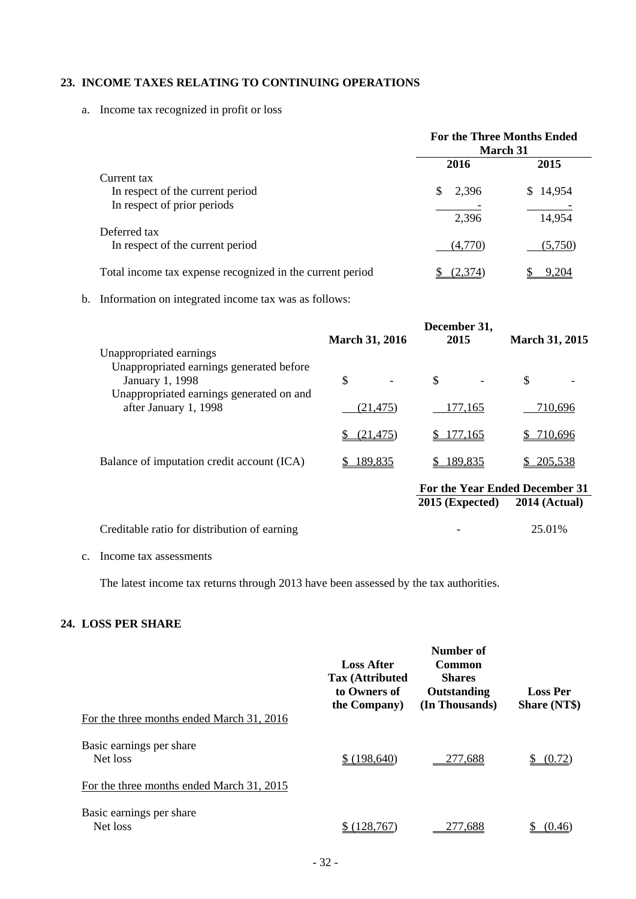## **23. INCOME TAXES RELATING TO CONTINUING OPERATIONS**

a. Income tax recognized in profit or loss

|                                                           | <b>For the Three Months Ended</b><br><b>March 31</b> |          |  |
|-----------------------------------------------------------|------------------------------------------------------|----------|--|
|                                                           | 2016                                                 | 2015     |  |
| Current tax                                               |                                                      |          |  |
| In respect of the current period                          | 2,396<br>S                                           | \$14,954 |  |
| In respect of prior periods                               |                                                      |          |  |
|                                                           | 2,396                                                | 14,954   |  |
| Deferred tax                                              |                                                      |          |  |
| In respect of the current period                          | (4,770)                                              | (5,750)  |  |
| Total income tax expense recognized in the current period | <u>(2,374)</u>                                       | 9.204    |  |

b. Information on integrated income tax was as follows:

|                                                                                                         |                       | December 31,      |                                |
|---------------------------------------------------------------------------------------------------------|-----------------------|-------------------|--------------------------------|
|                                                                                                         | <b>March 31, 2016</b> | 2015              | <b>March 31, 2015</b>          |
| Unappropriated earnings                                                                                 |                       |                   |                                |
| Unappropriated earnings generated before<br>January 1, 1998<br>Unappropriated earnings generated on and | \$                    | \$                | \$                             |
| after January 1, 1998                                                                                   | (21, 475)             | 177,165           | 710,696                        |
|                                                                                                         | (21, 475)             | 177,165<br>SS.    | <u>710,696</u>                 |
| Balance of imputation credit account (ICA)                                                              | \$189,835             | \$189,835         | 205,538                        |
|                                                                                                         |                       |                   | For the Year Ended December 31 |
|                                                                                                         |                       | $2015$ (Expected) | <b>2014 (Actual)</b>           |

| Creditable ratio for distribution of earning |  | 25.01% |
|----------------------------------------------|--|--------|
|----------------------------------------------|--|--------|

## c. Income tax assessments

The latest income tax returns through 2013 have been assessed by the tax authorities.

## **24. LOSS PER SHARE**

| For the three months ended March 31, 2016 | <b>Loss After</b><br><b>Tax (Attributed)</b><br>to Owners of<br>the Company) | Number of<br><b>Common</b><br><b>Shares</b><br>Outstanding<br>(In Thousands) | <b>Loss Per</b><br><b>Share (NT\$)</b> |
|-------------------------------------------|------------------------------------------------------------------------------|------------------------------------------------------------------------------|----------------------------------------|
| Basic earnings per share<br>Net loss      | \$(198,640)                                                                  | 277,688                                                                      | (0.72)                                 |
| For the three months ended March 31, 2015 |                                                                              |                                                                              |                                        |
| Basic earnings per share<br>Net loss      |                                                                              | .688                                                                         | (I) 46                                 |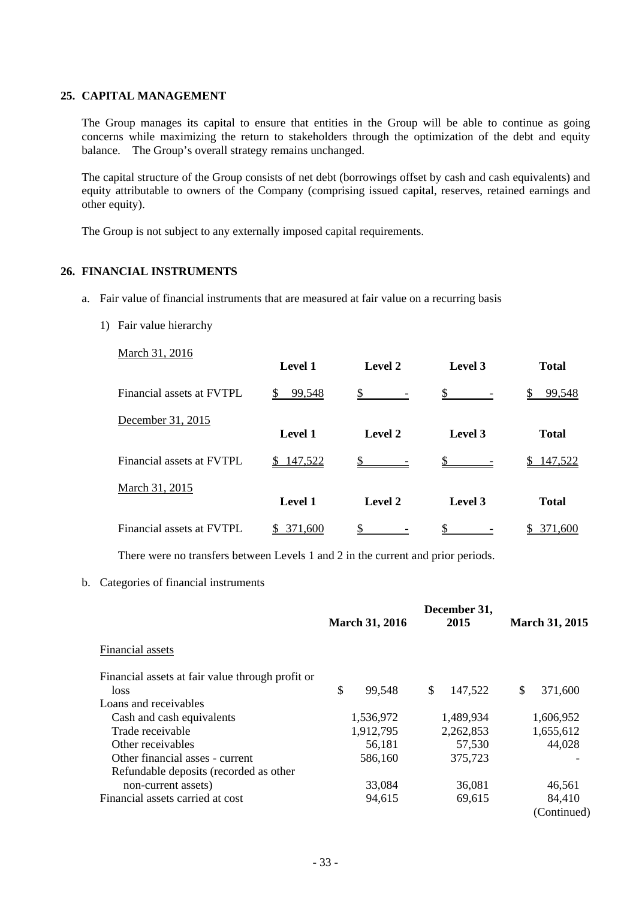## **25. CAPITAL MANAGEMENT**

The Group manages its capital to ensure that entities in the Group will be able to continue as going concerns while maximizing the return to stakeholders through the optimization of the debt and equity balance. The Group's overall strategy remains unchanged.

The capital structure of the Group consists of net debt (borrowings offset by cash and cash equivalents) and equity attributable to owners of the Company (comprising issued capital, reserves, retained earnings and other equity).

The Group is not subject to any externally imposed capital requirements.

## **26. FINANCIAL INSTRUMENTS**

- a. Fair value of financial instruments that are measured at fair value on a recurring basis
	- 1) Fair value hierarchy

| March 31, 2016            | Level 1        | Level 2       | Level 3 | <b>Total</b> |
|---------------------------|----------------|---------------|---------|--------------|
| Financial assets at FVTPL | 99,548         | $\sim$ $\sim$ |         | 99,548       |
| December 31, 2015         | Level 1        | Level 2       | Level 3 | <b>Total</b> |
| Financial assets at FVTPL | 147,522        | $\mathsf{\$}$ |         | 147,522      |
| March 31, 2015            | <b>Level 1</b> | Level 2       | Level 3 | <b>Total</b> |
| Financial assets at FVTPL | 371,600        |               |         | 371,600      |

There were no transfers between Levels 1 and 2 in the current and prior periods.

b. Categories of financial instruments

|                                                  | <b>March 31, 2016</b> | December 31,<br>2015 | <b>March 31, 2015</b> |
|--------------------------------------------------|-----------------------|----------------------|-----------------------|
| Financial assets                                 |                       |                      |                       |
| Financial assets at fair value through profit or |                       |                      |                       |
| <i>loss</i>                                      | \$<br>99,548          | \$<br>147,522        | \$<br>371,600         |
| Loans and receivables                            |                       |                      |                       |
| Cash and cash equivalents                        | 1,536,972             | 1,489,934            | 1,606,952             |
| Trade receivable                                 | 1,912,795             | 2,262,853            | 1,655,612             |
| Other receivables                                | 56,181                | 57,530               | 44,028                |
| Other financial asses - current                  | 586,160               | 375,723              |                       |
| Refundable deposits (recorded as other           |                       |                      |                       |
| non-current assets)                              | 33,084                | 36,081               | 46,561                |
| Financial assets carried at cost                 | 94,615                | 69,615               | 84,410                |
|                                                  |                       |                      | (Continued)           |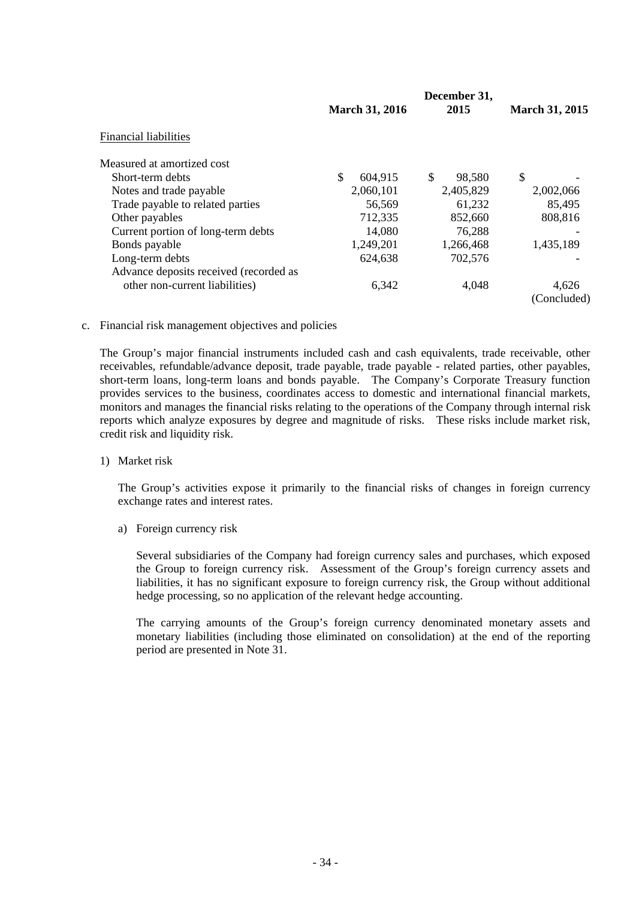|                                        |                       | December 31, |                       |
|----------------------------------------|-----------------------|--------------|-----------------------|
|                                        | <b>March 31, 2016</b> | 2015         | <b>March 31, 2015</b> |
| <b>Financial liabilities</b>           |                       |              |                       |
| Measured at amortized cost             |                       |              |                       |
| Short-term debts                       | \$<br>604,915         | \$<br>98.580 | \$                    |
| Notes and trade payable                | 2,060,101             | 2,405,829    | 2,002,066             |
| Trade payable to related parties       | 56,569                | 61,232       | 85,495                |
| Other payables                         | 712,335               | 852,660      | 808,816               |
| Current portion of long-term debts     | 14,080                | 76,288       |                       |
| Bonds payable                          | 1,249,201             | 1,266,468    | 1,435,189             |
| Long-term debts                        | 624,638               | 702,576      |                       |
| Advance deposits received (recorded as |                       |              |                       |
| other non-current liabilities)         | 6,342                 | 4,048        | 4.626                 |
|                                        |                       |              | (Concluded)           |

c. Financial risk management objectives and policies

The Group's major financial instruments included cash and cash equivalents, trade receivable, other receivables, refundable/advance deposit, trade payable, trade payable - related parties, other payables, short-term loans, long-term loans and bonds payable. The Company's Corporate Treasury function provides services to the business, coordinates access to domestic and international financial markets, monitors and manages the financial risks relating to the operations of the Company through internal risk reports which analyze exposures by degree and magnitude of risks. These risks include market risk, credit risk and liquidity risk.

1) Market risk

The Group's activities expose it primarily to the financial risks of changes in foreign currency exchange rates and interest rates.

a) Foreign currency risk

Several subsidiaries of the Company had foreign currency sales and purchases, which exposed the Group to foreign currency risk. Assessment of the Group's foreign currency assets and liabilities, it has no significant exposure to foreign currency risk, the Group without additional hedge processing, so no application of the relevant hedge accounting.

The carrying amounts of the Group's foreign currency denominated monetary assets and monetary liabilities (including those eliminated on consolidation) at the end of the reporting period are presented in Note 31.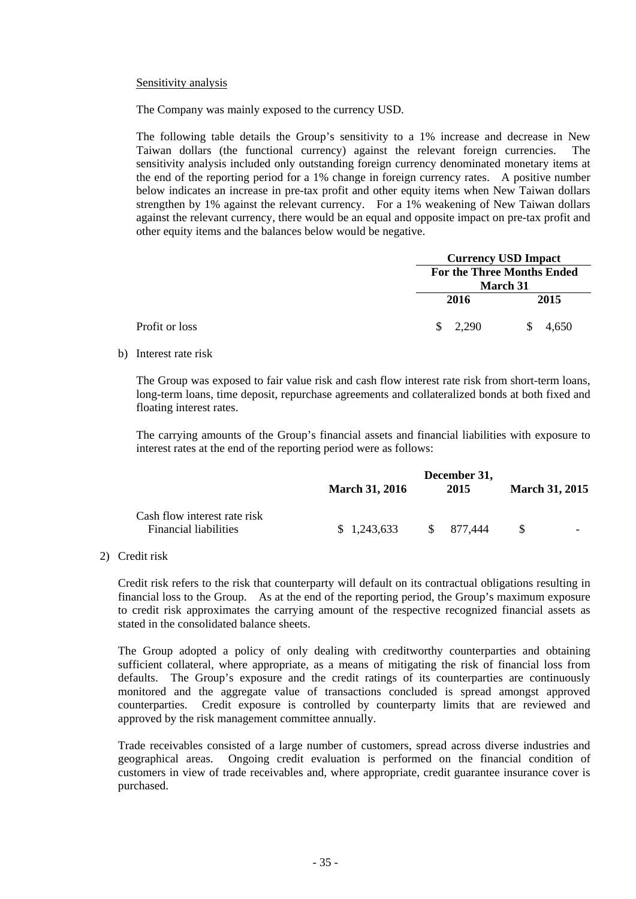### Sensitivity analysis

The Company was mainly exposed to the currency USD.

The following table details the Group's sensitivity to a 1% increase and decrease in New Taiwan dollars (the functional currency) against the relevant foreign currencies. The sensitivity analysis included only outstanding foreign currency denominated monetary items at the end of the reporting period for a 1% change in foreign currency rates. A positive number below indicates an increase in pre-tax profit and other equity items when New Taiwan dollars strengthen by 1% against the relevant currency. For a 1% weakening of New Taiwan dollars against the relevant currency, there would be an equal and opposite impact on pre-tax profit and other equity items and the balances below would be negative.

|                |             | <b>Currency USD Impact</b>        |
|----------------|-------------|-----------------------------------|
|                |             | <b>For the Three Months Ended</b> |
|                |             | <b>March 31</b>                   |
|                | 2016        | 2015                              |
| Profit or loss | 2,290<br>S. | 4,650                             |

#### b) Interest rate risk

The Group was exposed to fair value risk and cash flow interest rate risk from short-term loans, long-term loans, time deposit, repurchase agreements and collateralized bonds at both fixed and floating interest rates.

The carrying amounts of the Group's financial assets and financial liabilities with exposure to interest rates at the end of the reporting period were as follows:

|                                                              | <b>March 31, 2016</b> | December 31,<br>2015 | <b>March 31, 2015</b> |
|--------------------------------------------------------------|-----------------------|----------------------|-----------------------|
| Cash flow interest rate risk<br><b>Financial liabilities</b> | \$1,243,633           | \$ 877.444           | -S<br>-               |

## 2) Credit risk

Credit risk refers to the risk that counterparty will default on its contractual obligations resulting in financial loss to the Group. As at the end of the reporting period, the Group's maximum exposure to credit risk approximates the carrying amount of the respective recognized financial assets as stated in the consolidated balance sheets.

The Group adopted a policy of only dealing with creditworthy counterparties and obtaining sufficient collateral, where appropriate, as a means of mitigating the risk of financial loss from defaults. The Group's exposure and the credit ratings of its counterparties are continuously monitored and the aggregate value of transactions concluded is spread amongst approved counterparties. Credit exposure is controlled by counterparty limits that are reviewed and approved by the risk management committee annually.

Trade receivables consisted of a large number of customers, spread across diverse industries and geographical areas. Ongoing credit evaluation is performed on the financial condition of customers in view of trade receivables and, where appropriate, credit guarantee insurance cover is purchased.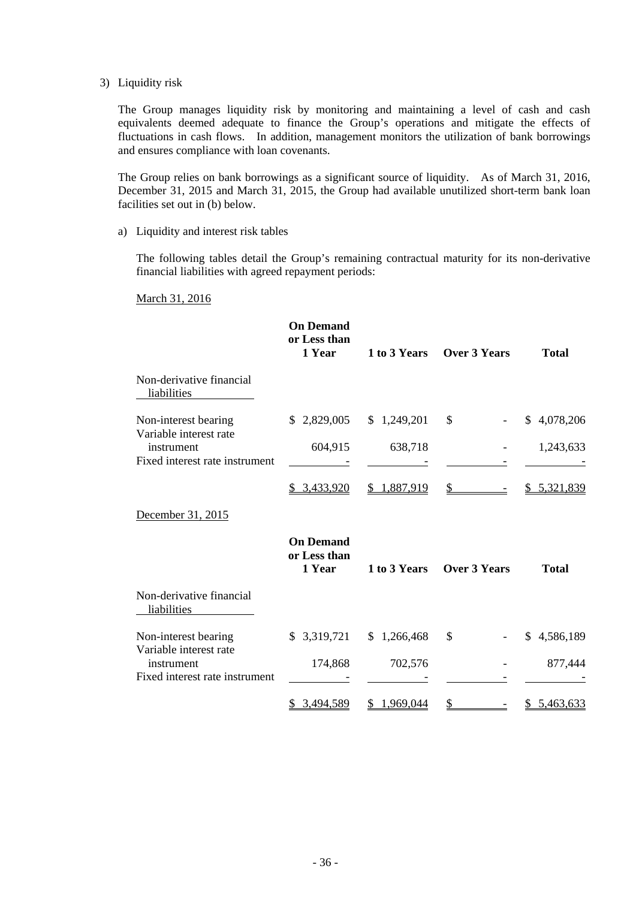#### 3) Liquidity risk

The Group manages liquidity risk by monitoring and maintaining a level of cash and cash equivalents deemed adequate to finance the Group's operations and mitigate the effects of fluctuations in cash flows. In addition, management monitors the utilization of bank borrowings and ensures compliance with loan covenants.

The Group relies on bank borrowings as a significant source of liquidity. As of March 31, 2016, December 31, 2015 and March 31, 2015, the Group had available unutilized short-term bank loan facilities set out in (b) below.

#### a) Liquidity and interest risk tables

The following tables detail the Group's remaining contractual maturity for its non-derivative financial liabilities with agreed repayment periods:

## March 31, 2016

|                                                                        | <b>On Demand</b><br>or Less than<br>1 Year | 1 to 3 Years    | <b>Over 3 Years</b> | <b>Total</b>       |
|------------------------------------------------------------------------|--------------------------------------------|-----------------|---------------------|--------------------|
| Non-derivative financial<br>liabilities                                |                                            |                 |                     |                    |
| Non-interest bearing<br>Variable interest rate                         | \$2,829,005                                | \$1,249,201     | \$                  | \$4,078,206        |
| instrument<br>Fixed interest rate instrument                           | 604,915                                    | 638,718         |                     | 1,243,633          |
|                                                                        | \$ 3,433,920                               | 1,887,919<br>\$ | \$                  | 5,321,839<br>S.    |
| December 31, 2015                                                      |                                            |                 |                     |                    |
|                                                                        | <b>On Demand</b><br>or Less than<br>1 Year | 1 to 3 Years    | <b>Over 3 Years</b> | <b>Total</b>       |
| Non-derivative financial<br>liabilities                                |                                            |                 |                     |                    |
| Non-interest bearing                                                   | \$3,319,721                                | \$1,266,468     | \$                  | 4,586,189<br>\$.   |
| Variable interest rate<br>instrument<br>Fixed interest rate instrument | 174,868                                    | 702,576         |                     | 877,444            |
|                                                                        | 3,494,589<br>\$                            | 1,969,044<br>\$ | \$                  | <u>\$5,463,633</u> |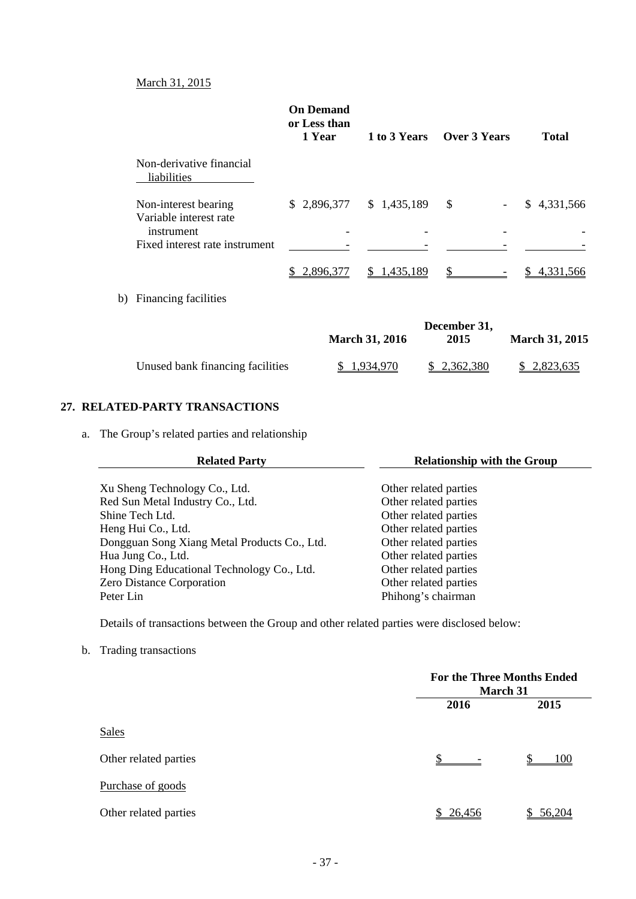## March 31, 2015

|                                                              | <b>On Demand</b><br>or Less than<br>1 Year |             | 1 to 3 Years Over 3 Years | <b>Total</b> |
|--------------------------------------------------------------|--------------------------------------------|-------------|---------------------------|--------------|
| Non-derivative financial<br>liabilities                      |                                            |             |                           |              |
| Non-interest bearing<br>Variable interest rate<br>instrument | \$2,896,377                                | \$1,435,189 | \$<br>-                   | \$4,331,566  |
| Fixed interest rate instrument                               |                                            |             |                           |              |
|                                                              | 2,896,377<br>S.                            | \$1,435,189 |                           | 4.331.566    |
| b) Financing facilities                                      |                                            |             |                           |              |
|                                                              |                                            |             |                           |              |

|                                  | <b>March 31, 2016</b> | December 31,<br>2015 | <b>March 31, 2015</b> |
|----------------------------------|-----------------------|----------------------|-----------------------|
|                                  |                       |                      |                       |
| Unused bank financing facilities | 1.934.970             | \$ 2.362.380         | \$2,823,635           |

## **27. RELATED-PARTY TRANSACTIONS**

a. The Group's related parties and relationship

| <b>Related Party</b>                         | <b>Relationship with the Group</b> |  |  |
|----------------------------------------------|------------------------------------|--|--|
| Xu Sheng Technology Co., Ltd.                | Other related parties              |  |  |
| Red Sun Metal Industry Co., Ltd.             | Other related parties              |  |  |
| Shine Tech Ltd.                              | Other related parties              |  |  |
| Heng Hui Co., Ltd.                           | Other related parties              |  |  |
| Dongguan Song Xiang Metal Products Co., Ltd. | Other related parties              |  |  |
| Hua Jung Co., Ltd.                           | Other related parties              |  |  |
| Hong Ding Educational Technology Co., Ltd.   | Other related parties              |  |  |
| Zero Distance Corporation                    | Other related parties              |  |  |
| Peter Lin                                    | Phihong's chairman                 |  |  |

Details of transactions between the Group and other related parties were disclosed below:

b. Trading transactions

|                       | <b>For the Three Months Ended</b><br>March 31 |        |
|-----------------------|-----------------------------------------------|--------|
|                       | 2016                                          | 2015   |
| Sales                 |                                               |        |
| Other related parties |                                               | 100    |
| Purchase of goods     |                                               |        |
| Other related parties | \$26,456                                      | 56.204 |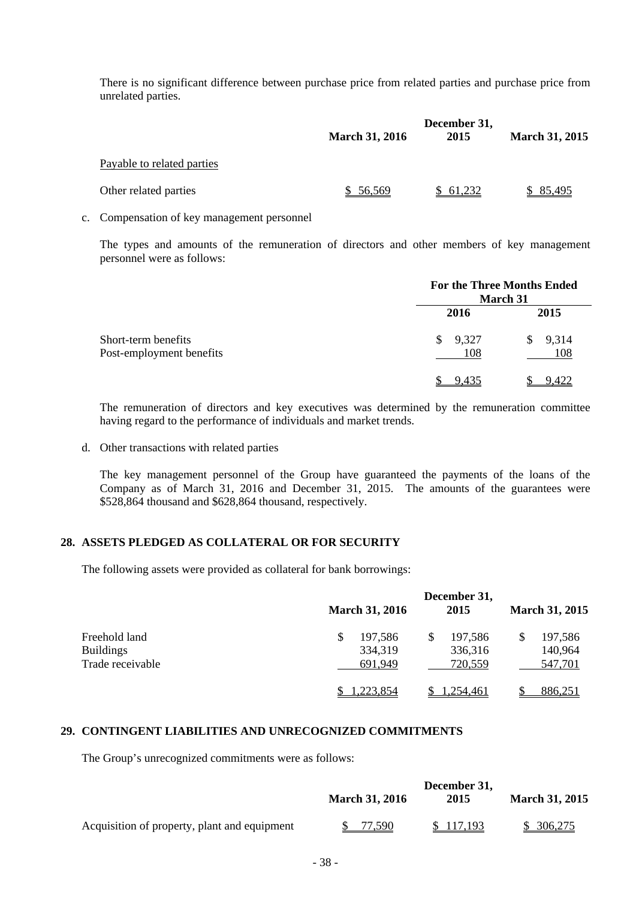There is no significant difference between purchase price from related parties and purchase price from unrelated parties.

|          | 2015                  | <b>March 31, 2015</b> |
|----------|-----------------------|-----------------------|
|          |                       |                       |
| \$56,569 | \$61,232              | \$85,495              |
|          | <b>March 31, 2016</b> | December 31,          |

c. Compensation of key management personnel

The types and amounts of the remuneration of directors and other members of key management personnel were as follows:

|                          | <b>For the Three Months Ended</b><br>March 31 |             |  |
|--------------------------|-----------------------------------------------|-------------|--|
|                          | 2016                                          | 2015        |  |
| Short-term benefits      | 9,327<br>\$                                   | 9,314<br>S. |  |
| Post-employment benefits | 108                                           | 108         |  |
|                          | 9.435                                         | <u>422</u>  |  |

The remuneration of directors and key executives was determined by the remuneration committee having regard to the performance of individuals and market trends.

d. Other transactions with related parties

The key management personnel of the Group have guaranteed the payments of the loans of the Company as of March 31, 2016 and December 31, 2015. The amounts of the guarantees were \$528,864 thousand and \$628,864 thousand, respectively.

## **28. ASSETS PLEDGED AS COLLATERAL OR FOR SECURITY**

The following assets were provided as collateral for bank borrowings:

|                                                       | <b>March 31, 2016</b>               | December 31,<br>2015          | <b>March 31, 2015</b>         |
|-------------------------------------------------------|-------------------------------------|-------------------------------|-------------------------------|
| Freehold land<br><b>Buildings</b><br>Trade receivable | 197,586<br>\$<br>334,319<br>691.949 | 197,586<br>336,316<br>720,559 | 197,586<br>140,964<br>547,701 |
|                                                       | .223,854                            | 1.254.461                     | 886,251                       |

## **29. CONTINGENT LIABILITIES AND UNRECOGNIZED COMMITMENTS**

The Group's unrecognized commitments were as follows:

|                                              | December 31,          |           |                       |
|----------------------------------------------|-----------------------|-----------|-----------------------|
|                                              | <b>March 31, 2016</b> | 2015      | <b>March 31, 2015</b> |
| Acquisition of property, plant and equipment | 77.590                | \$117,193 | \$306,275             |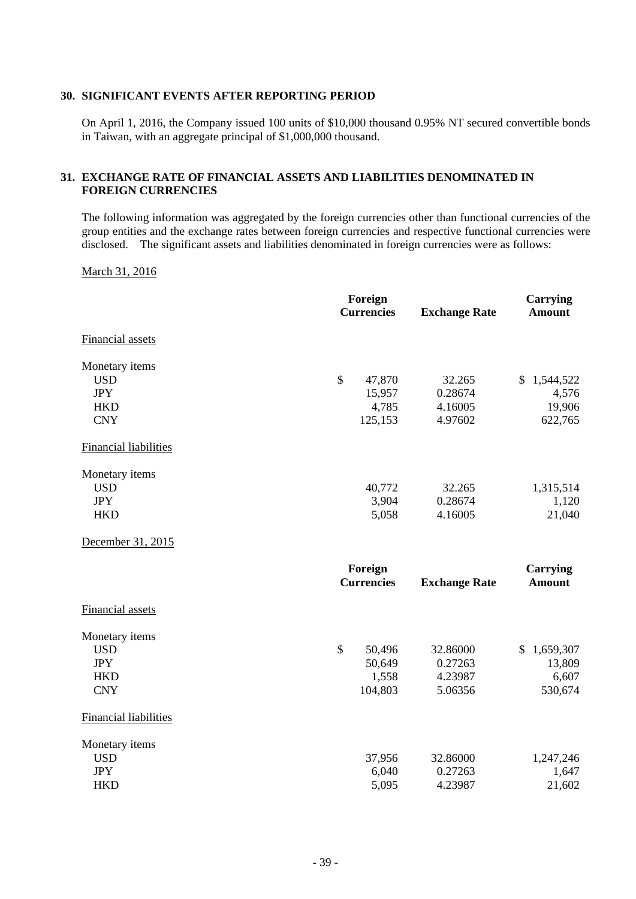#### **30. SIGNIFICANT EVENTS AFTER REPORTING PERIOD**

On April 1, 2016, the Company issued 100 units of \$10,000 thousand 0.95% NT secured convertible bonds in Taiwan, with an aggregate principal of \$1,000,000 thousand.

## **31. EXCHANGE RATE OF FINANCIAL ASSETS AND LIABILITIES DENOMINATED IN FOREIGN CURRENCIES**

The following information was aggregated by the foreign currencies other than functional currencies of the group entities and the exchange rates between foreign currencies and respective functional currencies were disclosed. The significant assets and liabilities denominated in foreign currencies were as follows:

March 31, 2016

|                              | Foreign<br><b>Currencies</b> | <b>Exchange Rate</b> | <b>Carrying</b><br><b>Amount</b> |
|------------------------------|------------------------------|----------------------|----------------------------------|
| <b>Financial assets</b>      |                              |                      |                                  |
| Monetary items               |                              |                      |                                  |
| <b>USD</b>                   | $\mathcal{S}$<br>47,870      | 32.265               | \$1,544,522                      |
| <b>JPY</b>                   | 15,957                       | 0.28674              | 4,576                            |
| <b>HKD</b>                   | 4,785                        | 4.16005              | 19,906                           |
| <b>CNY</b>                   | 125,153                      | 4.97602              | 622,765                          |
| <b>Financial liabilities</b> |                              |                      |                                  |
| Monetary items               |                              |                      |                                  |
| <b>USD</b>                   | 40,772                       | 32.265               | 1,315,514                        |
| <b>JPY</b>                   | 3,904                        | 0.28674              | 1,120                            |
| <b>HKD</b>                   | 5,058                        | 4.16005              | 21,040                           |
| December 31, 2015            |                              |                      |                                  |
|                              | Foreign                      |                      | <b>Carrying</b>                  |
|                              | <b>Currencies</b>            | <b>Exchange Rate</b> | <b>Amount</b>                    |
| Financial assets             |                              |                      |                                  |
| Monetary items               |                              |                      |                                  |
| <b>USD</b>                   | $\mathcal{S}$<br>50,496      | 32.86000             | $\mathbb{S}$<br>1,659,307        |
| <b>JPY</b>                   | 50,649                       | 0.27263              | 13,809                           |
| <b>HKD</b>                   | 1,558                        | 4.23987              | 6,607                            |
| <b>CNY</b>                   | 104,803                      | 5.06356              | 530,674                          |
| <b>Financial liabilities</b> |                              |                      |                                  |
| Monetary items               |                              |                      |                                  |
| <b>USD</b>                   | 37,956                       | 32.86000             | 1,247,246                        |
| <b>JPY</b>                   | 6,040                        | 0.27263              | 1,647                            |
| <b>HKD</b>                   | 5,095                        | 4.23987              | 21,602                           |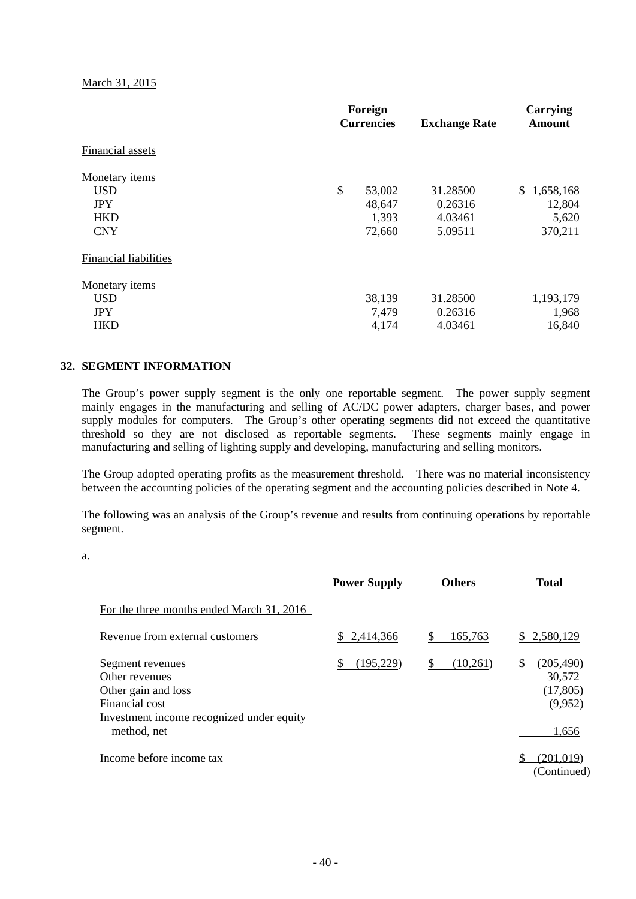March 31, 2015

|                       | Foreign<br><b>Currencies</b> |        | <b>Exchange Rate</b> | Carrying<br><b>Amount</b> |  |
|-----------------------|------------------------------|--------|----------------------|---------------------------|--|
| Financial assets      |                              |        |                      |                           |  |
| Monetary items        |                              |        |                      |                           |  |
| <b>USD</b>            | \$                           | 53,002 | 31.28500             | \$1,658,168               |  |
| <b>JPY</b>            |                              | 48,647 | 0.26316              | 12,804                    |  |
| <b>HKD</b>            |                              | 1,393  | 4.03461              | 5,620                     |  |
| <b>CNY</b>            |                              | 72,660 | 5.09511              | 370,211                   |  |
| Financial liabilities |                              |        |                      |                           |  |
| Monetary items        |                              |        |                      |                           |  |
| <b>USD</b>            |                              | 38,139 | 31.28500             | 1,193,179                 |  |
| <b>JPY</b>            |                              | 7,479  | 0.26316              | 1,968                     |  |
| <b>HKD</b>            |                              | 4,174  | 4.03461              | 16,840                    |  |

#### **32. SEGMENT INFORMATION**

The Group's power supply segment is the only one reportable segment. The power supply segment mainly engages in the manufacturing and selling of AC/DC power adapters, charger bases, and power supply modules for computers. The Group's other operating segments did not exceed the quantitative threshold so they are not disclosed as reportable segments. These segments mainly engage in manufacturing and selling of lighting supply and developing, manufacturing and selling monitors.

The Group adopted operating profits as the measurement threshold. There was no material inconsistency between the accounting policies of the operating segment and the accounting policies described in Note 4.

The following was an analysis of the Group's revenue and results from continuing operations by reportable segment.

a.

|                                                                                                                                         | <b>Power Supply</b> | <b>Others</b> | <b>Total</b>                                                |
|-----------------------------------------------------------------------------------------------------------------------------------------|---------------------|---------------|-------------------------------------------------------------|
| For the three months ended March 31, 2016                                                                                               |                     |               |                                                             |
| Revenue from external customers                                                                                                         | 2,414,366           | 165,763       | 2,580,129                                                   |
| Segment revenues<br>Other revenues<br>Other gain and loss<br>Financial cost<br>Investment income recognized under equity<br>method, net | (195, 229)<br>S     | S<br>(10,261) | \$<br>(205, 490)<br>30,572<br>(17, 805)<br>(9,952)<br>1,656 |
| Income before income tax                                                                                                                |                     |               | (201,019)<br>(Continued)                                    |